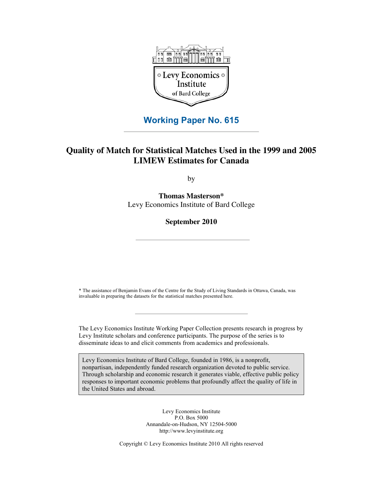

### **Working Paper No. 615**

### **Quality of Match for Statistical Matches Used in the 1999 and 2005 LIMEW Estimates for Canada**

by

**Thomas Masterson\*** Levy Economics Institute of Bard College

### **September 2010**

\* The assistance of Benjamin Evans of the Centre for the Study of Living Standards in Ottawa, Canada, was invaluable in preparing the datasets for the statistical matches presented here.

The Levy Economics Institute Working Paper Collection presents research in progress by Levy Institute scholars and conference participants. The purpose of the series is to disseminate ideas to and elicit comments from academics and professionals.

Levy Economics Institute of Bard College, founded in 1986, is a nonprofit, nonpartisan, independently funded research organization devoted to public service. Through scholarship and economic research it generates viable, effective public policy responses to important economic problems that profoundly affect the quality of life in the United States and abroad.

> Levy Economics Institute P.O. Box 5000 Annandale-on-Hudson, NY 12504-5000 http://www.levyinstitute.org

Copyright © Levy Economics Institute 2010 All rights reserved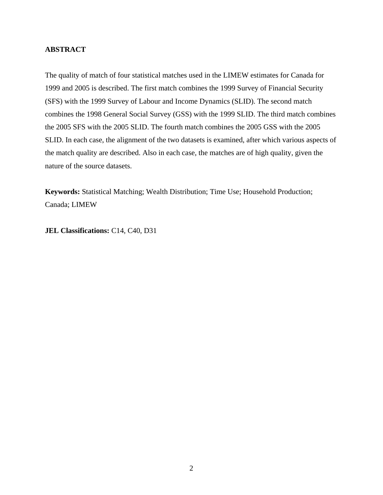### **ABSTRACT**

The quality of match of four statistical matches used in the LIMEW estimates for Canada for 1999 and 2005 is described. The first match combines the 1999 Survey of Financial Security (SFS) with the 1999 Survey of Labour and Income Dynamics (SLID). The second match combines the 1998 General Social Survey (GSS) with the 1999 SLID. The third match combines the 2005 SFS with the 2005 SLID. The fourth match combines the 2005 GSS with the 2005 SLID. In each case, the alignment of the two datasets is examined, after which various aspects of the match quality are described. Also in each case, the matches are of high quality, given the nature of the source datasets.

**Keywords:** Statistical Matching; Wealth Distribution; Time Use; Household Production; Canada; LIMEW

**JEL Classifications:** C14, C40, D31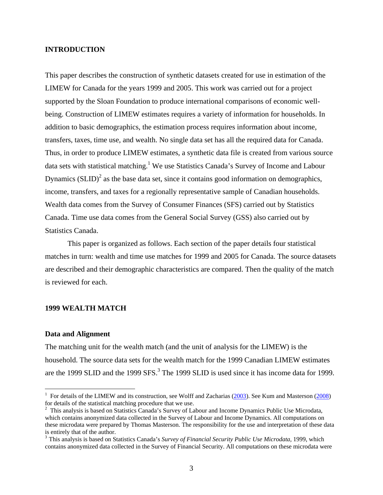### **INTRODUCTION**

This paper describes the construction of synthetic datasets created for use in estimation of the LIMEW for Canada for the years 1999 and 2005. This work was carried out for a project supported by the Sloan Foundation to produce international comparisons of economic wellbeing. Construction of LIMEW estimates requires a variety of information for households. In addition to basic demographics, the estimation process requires information about income, transfers, taxes, time use, and wealth. No single data set has all the required data for Canada. Thus, in order to produce LIMEW estimates, a synthetic data file is created from various source data sets with statistical matching.<sup>1</sup> We use Statistics Canada's Survey of Income and Labour Dynamics  $(SLID)^2$  as the base data set, since it contains good information on demographics, income, transfers, and taxes for a regionally representative sample of Canadian households. Wealth data comes from the Survey of Consumer Finances (SFS) carried out by Statistics Canada. Time use data comes from the General Social Survey (GSS) also carried out by Statistics Canada.

This paper is organized as follows. Each section of the paper details four statistical matches in turn: wealth and time use matches for 1999 and 2005 for Canada. The source datasets are described and their demographic characteristics are compared. Then the quality of the match is reviewed for each.

#### **1999 WEALTH MATCH**

### **Data and Alignment**

 $\overline{a}$ 

The matching unit for the wealth match (and the unit of analysis for the LIMEW) is the household. The source data sets for the wealth match for the 1999 Canadian LIMEW estimates are the 1999 SLID and the 1999 SFS.<sup>3</sup> The 1999 SLID is used since it has income data for 1999.

<sup>&</sup>lt;sup>1</sup> For details of the LIMEW and its construction, see Wolff and Zacharias  $(2003)$ . See Kum and Masterson  $(2008)$ for details of the statistical matching procedure that we use.

<sup>&</sup>lt;sup>2</sup> This analysis is based on Statistics Canada's Survey of Labour and Income Dynamics Public Use Microdata, which contains anonymized data collected in the Survey of Labour and Income Dynamics. All computations on these microdata were prepared by Thomas Masterson. The responsibility for the use and interpretation of these data is entirely that of the author.

<sup>3</sup> This analysis is based on Statistics Canada's *Survey of Financial Security Public Use Microdata*, 1999, which contains anonymized data collected in the Survey of Financial Security. All computations on these microdata were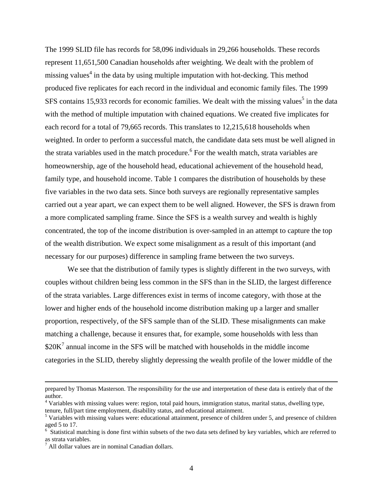The 1999 SLID file has records for 58,096 individuals in 29,266 households. These records represent 11,651,500 Canadian households after weighting. We dealt with the problem of missing values<sup>4</sup> in the data by using multiple imputation with hot-decking. This method produced five replicates for each record in the individual and economic family files. The 1999 SFS contains 15,933 records for economic families. We dealt with the missing values<sup>5</sup> in the data with the method of multiple imputation with chained equations. We created five implicates for each record for a total of 79,665 records. This translates to 12,215,618 households when weighted. In order to perform a successful match, the candidate data sets must be well aligned in the strata variables used in the match procedure.<sup>6</sup> For the wealth match, strata variables are homeownership, age of the household head, educational achievement of the household head, family type, and household income. Table 1 compares the distribution of households by these five variables in the two data sets. Since both surveys are regionally representative samples carried out a year apart, we can expect them to be well aligned. However, the SFS is drawn from a more complicated sampling frame. Since the SFS is a wealth survey and wealth is highly concentrated, the top of the income distribution is over-sampled in an attempt to capture the top of the wealth distribution. We expect some misalignment as a result of this important (and necessary for our purposes) difference in sampling frame between the two surveys.

We see that the distribution of family types is slightly different in the two surveys, with couples without children being less common in the SFS than in the SLID, the largest difference of the strata variables. Large differences exist in terms of income category, with those at the lower and higher ends of the household income distribution making up a larger and smaller proportion, respectively, of the SFS sample than of the SLID. These misalignments can make matching a challenge, because it ensures that, for example, some households with less than  $$20K<sup>7</sup>$  annual income in the SFS will be matched with households in the middle income categories in the SLID, thereby slightly depressing the wealth profile of the lower middle of the

prepared by Thomas Masterson. The responsibility for the use and interpretation of these data is entirely that of the author.

<sup>&</sup>lt;sup>4</sup> Variables with missing values were: region, total paid hours, immigration status, marital status, dwelling type, tenure, full/part time employment, disability status, and educational attainment.

<sup>&</sup>lt;sup>5</sup> Variables with missing values were: educational attainment, presence of children under 5, and presence of children aged 5 to 17.

<sup>&</sup>lt;sup>6</sup> Statistical matching is done first within subsets of the two data sets defined by key variables, which are referred to as strata variables.

 $<sup>7</sup>$  All dollar values are in nominal Canadian dollars.</sup>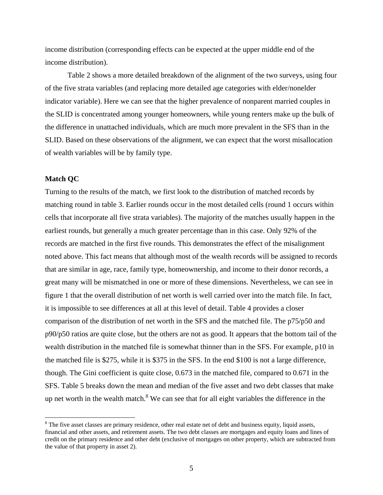income distribution (corresponding effects can be expected at the upper middle end of the income distribution).

Table 2 shows a more detailed breakdown of the alignment of the two surveys, using four of the five strata variables (and replacing more detailed age categories with elder/nonelder indicator variable). Here we can see that the higher prevalence of nonparent married couples in the SLID is concentrated among younger homeowners, while young renters make up the bulk of the difference in unattached individuals, which are much more prevalent in the SFS than in the SLID. Based on these observations of the alignment, we can expect that the worst misallocation of wealth variables will be by family type.

### **Match QC**

 $\overline{a}$ 

Turning to the results of the match, we first look to the distribution of matched records by matching round in table 3. Earlier rounds occur in the most detailed cells (round 1 occurs within cells that incorporate all five strata variables). The majority of the matches usually happen in the earliest rounds, but generally a much greater percentage than in this case. Only 92% of the records are matched in the first five rounds. This demonstrates the effect of the misalignment noted above. This fact means that although most of the wealth records will be assigned to records that are similar in age, race, family type, homeownership, and income to their donor records, a great many will be mismatched in one or more of these dimensions. Nevertheless, we can see in figure 1 that the overall distribution of net worth is well carried over into the match file. In fact, it is impossible to see differences at all at this level of detail. Table 4 provides a closer comparison of the distribution of net worth in the SFS and the matched file. The p75/p50 and  $p90/p50$  ratios are quite close, but the others are not as good. It appears that the bottom tail of the wealth distribution in the matched file is somewhat thinner than in the SFS. For example, p10 in the matched file is \$275, while it is \$375 in the SFS. In the end \$100 is not a large difference, though. The Gini coefficient is quite close, 0.673 in the matched file, compared to 0.671 in the SFS. Table 5 breaks down the mean and median of the five asset and two debt classes that make up net worth in the wealth match.<sup>8</sup> We can see that for all eight variables the difference in the

 $8$  The five asset classes are primary residence, other real estate net of debt and business equity, liquid assets, financial and other assets, and retirement assets. The two debt classes are mortgages and equity loans and lines of credit on the primary residence and other debt (exclusive of mortgages on other property, which are subtracted from the value of that property in asset 2).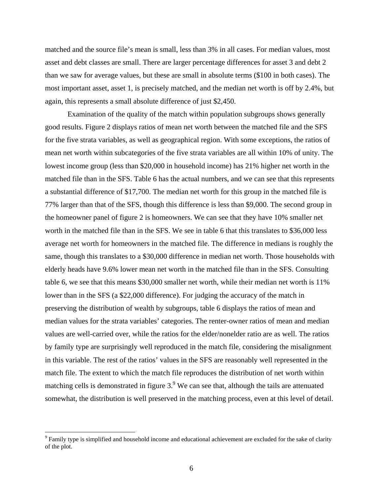matched and the source file's mean is small, less than 3% in all cases. For median values, most asset and debt classes are small. There are larger percentage differences for asset 3 and debt 2 than we saw for average values, but these are small in absolute terms (\$100 in both cases). The most important asset, asset 1, is precisely matched, and the median net worth is off by 2.4%, but again, this represents a small absolute difference of just \$2,450.

Examination of the quality of the match within population subgroups shows generally good results. Figure 2 displays ratios of mean net worth between the matched file and the SFS for the five strata variables, as well as geographical region. With some exceptions, the ratios of mean net worth within subcategories of the five strata variables are all within 10% of unity. The lowest income group (less than \$20,000 in household income) has 21% higher net worth in the matched file than in the SFS. Table 6 has the actual numbers, and we can see that this represents a substantial difference of \$17,700. The median net worth for this group in the matched file is 77% larger than that of the SFS, though this difference is less than \$9,000. The second group in the homeowner panel of figure 2 is homeowners. We can see that they have 10% smaller net worth in the matched file than in the SFS. We see in table 6 that this translates to \$36,000 less average net worth for homeowners in the matched file. The difference in medians is roughly the same, though this translates to a \$30,000 difference in median net worth. Those households with elderly heads have 9.6% lower mean net worth in the matched file than in the SFS. Consulting table 6, we see that this means \$30,000 smaller net worth, while their median net worth is 11% lower than in the SFS (a \$22,000 difference). For judging the accuracy of the match in preserving the distribution of wealth by subgroups, table 6 displays the ratios of mean and median values for the strata variables' categories. The renter-owner ratios of mean and median values are well-carried over, while the ratios for the elder/nonelder ratio are as well. The ratios by family type are surprisingly well reproduced in the match file, considering the misalignment in this variable. The rest of the ratios' values in the SFS are reasonably well represented in the match file. The extent to which the match file reproduces the distribution of net worth within matching cells is demonstrated in figure  $3.9$  We can see that, although the tails are attenuated somewhat, the distribution is well preserved in the matching process, even at this level of detail.

 $\overline{a}$ 

<sup>&</sup>lt;sup>9</sup> Family type is simplified and household income and educational achievement are excluded for the sake of clarity of the plot.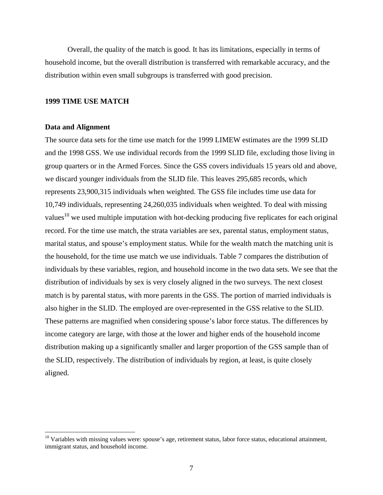Overall, the quality of the match is good. It has its limitations, especially in terms of household income, but the overall distribution is transferred with remarkable accuracy, and the distribution within even small subgroups is transferred with good precision.

### **1999 TIME USE MATCH**

### **Data and Alignment**

1

The source data sets for the time use match for the 1999 LIMEW estimates are the 1999 SLID and the 1998 GSS. We use individual records from the 1999 SLID file, excluding those living in group quarters or in the Armed Forces. Since the GSS covers individuals 15 years old and above, we discard younger individuals from the SLID file. This leaves 295,685 records, which represents 23,900,315 individuals when weighted. The GSS file includes time use data for 10,749 individuals, representing 24,260,035 individuals when weighted. To deal with missing values<sup>10</sup> we used multiple imputation with hot-decking producing five replicates for each original record. For the time use match, the strata variables are sex, parental status, employment status, marital status, and spouse's employment status. While for the wealth match the matching unit is the household, for the time use match we use individuals. Table 7 compares the distribution of individuals by these variables, region, and household income in the two data sets. We see that the distribution of individuals by sex is very closely aligned in the two surveys. The next closest match is by parental status, with more parents in the GSS. The portion of married individuals is also higher in the SLID. The employed are over-represented in the GSS relative to the SLID. These patterns are magnified when considering spouse's labor force status. The differences by income category are large, with those at the lower and higher ends of the household income distribution making up a significantly smaller and larger proportion of the GSS sample than of the SLID, respectively. The distribution of individuals by region, at least, is quite closely aligned.

<sup>&</sup>lt;sup>10</sup> Variables with missing values were: spouse's age, retirement status, labor force status, educational attainment, immigrant status, and household income.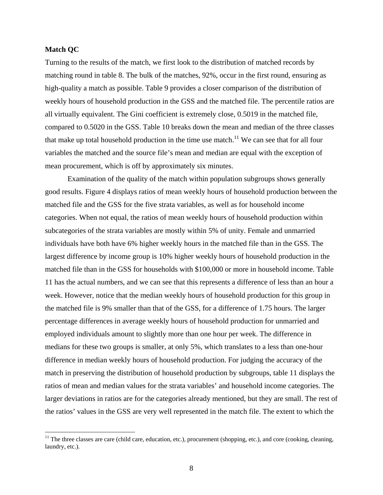### **Match QC**

 $\overline{a}$ 

Turning to the results of the match, we first look to the distribution of matched records by matching round in table 8. The bulk of the matches, 92%, occur in the first round, ensuring as high-quality a match as possible. Table 9 provides a closer comparison of the distribution of weekly hours of household production in the GSS and the matched file. The percentile ratios are all virtually equivalent. The Gini coefficient is extremely close, 0.5019 in the matched file, compared to 0.5020 in the GSS. Table 10 breaks down the mean and median of the three classes that make up total household production in the time use match.<sup>11</sup> We can see that for all four variables the matched and the source file's mean and median are equal with the exception of mean procurement, which is off by approximately six minutes.

Examination of the quality of the match within population subgroups shows generally good results. Figure 4 displays ratios of mean weekly hours of household production between the matched file and the GSS for the five strata variables, as well as for household income categories. When not equal, the ratios of mean weekly hours of household production within subcategories of the strata variables are mostly within 5% of unity. Female and unmarried individuals have both have 6% higher weekly hours in the matched file than in the GSS. The largest difference by income group is 10% higher weekly hours of household production in the matched file than in the GSS for households with \$100,000 or more in household income. Table 11 has the actual numbers, and we can see that this represents a difference of less than an hour a week. However, notice that the median weekly hours of household production for this group in the matched file is 9% smaller than that of the GSS, for a difference of 1.75 hours. The larger percentage differences in average weekly hours of household production for unmarried and employed individuals amount to slightly more than one hour per week. The difference in medians for these two groups is smaller, at only 5%, which translates to a less than one-hour difference in median weekly hours of household production. For judging the accuracy of the match in preserving the distribution of household production by subgroups, table 11 displays the ratios of mean and median values for the strata variables' and household income categories. The larger deviations in ratios are for the categories already mentioned, but they are small. The rest of the ratios' values in the GSS are very well represented in the match file. The extent to which the

 $11$  The three classes are care (child care, education, etc.), procurement (shopping, etc.), and core (cooking, cleaning, laundry, etc.).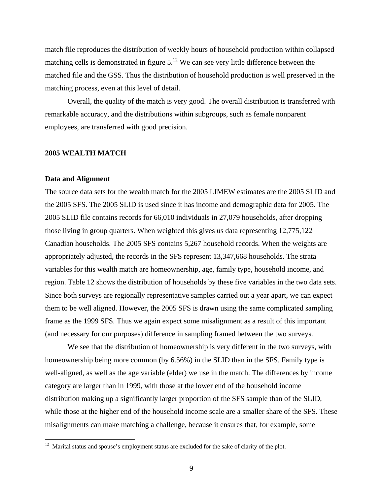match file reproduces the distribution of weekly hours of household production within collapsed matching cells is demonstrated in figure  $5<sup>12</sup>$  We can see very little difference between the matched file and the GSS. Thus the distribution of household production is well preserved in the matching process, even at this level of detail.

Overall, the quality of the match is very good. The overall distribution is transferred with remarkable accuracy, and the distributions within subgroups, such as female nonparent employees, are transferred with good precision.

### **2005 WEALTH MATCH**

#### **Data and Alignment**

 $\overline{a}$ 

The source data sets for the wealth match for the 2005 LIMEW estimates are the 2005 SLID and the 2005 SFS. The 2005 SLID is used since it has income and demographic data for 2005. The 2005 SLID file contains records for 66,010 individuals in 27,079 households, after dropping those living in group quarters. When weighted this gives us data representing 12,775,122 Canadian households. The 2005 SFS contains 5,267 household records. When the weights are appropriately adjusted, the records in the SFS represent 13,347,668 households. The strata variables for this wealth match are homeownership, age, family type, household income, and region. Table 12 shows the distribution of households by these five variables in the two data sets. Since both surveys are regionally representative samples carried out a year apart, we can expect them to be well aligned. However, the 2005 SFS is drawn using the same complicated sampling frame as the 1999 SFS. Thus we again expect some misalignment as a result of this important (and necessary for our purposes) difference in sampling framed between the two surveys.

We see that the distribution of homeownership is very different in the two surveys, with homeownership being more common (by 6.56%) in the SLID than in the SFS. Family type is well-aligned, as well as the age variable (elder) we use in the match. The differences by income category are larger than in 1999, with those at the lower end of the household income distribution making up a significantly larger proportion of the SFS sample than of the SLID, while those at the higher end of the household income scale are a smaller share of the SFS. These misalignments can make matching a challenge, because it ensures that, for example, some

 $12$  Marital status and spouse's employment status are excluded for the sake of clarity of the plot.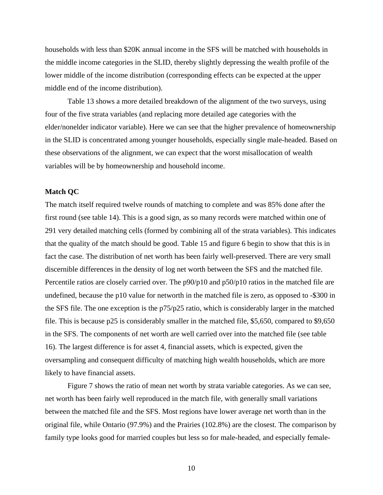households with less than \$20K annual income in the SFS will be matched with households in the middle income categories in the SLID, thereby slightly depressing the wealth profile of the lower middle of the income distribution (corresponding effects can be expected at the upper middle end of the income distribution).

Table 13 shows a more detailed breakdown of the alignment of the two surveys, using four of the five strata variables (and replacing more detailed age categories with the elder/nonelder indicator variable). Here we can see that the higher prevalence of homeownership in the SLID is concentrated among younger households, especially single male-headed. Based on these observations of the alignment, we can expect that the worst misallocation of wealth variables will be by homeownership and household income.

#### **Match QC**

The match itself required twelve rounds of matching to complete and was 85% done after the first round (see table 14). This is a good sign, as so many records were matched within one of 291 very detailed matching cells (formed by combining all of the strata variables). This indicates that the quality of the match should be good. Table 15 and figure 6 begin to show that this is in fact the case. The distribution of net worth has been fairly well-preserved. There are very small discernible differences in the density of log net worth between the SFS and the matched file. Percentile ratios are closely carried over. The p90/p10 and p50/p10 ratios in the matched file are undefined, because the p10 value for networth in the matched file is zero, as opposed to -\$300 in the SFS file. The one exception is the p75/p25 ratio, which is considerably larger in the matched file. This is because p25 is considerably smaller in the matched file, \$5,650, compared to \$9,650 in the SFS. The components of net worth are well carried over into the matched file (see table 16). The largest difference is for asset 4, financial assets, which is expected, given the oversampling and consequent difficulty of matching high wealth households, which are more likely to have financial assets.

Figure 7 shows the ratio of mean net worth by strata variable categories. As we can see, net worth has been fairly well reproduced in the match file, with generally small variations between the matched file and the SFS. Most regions have lower average net worth than in the original file, while Ontario (97.9%) and the Prairies (102.8%) are the closest. The comparison by family type looks good for married couples but less so for male-headed, and especially female-

10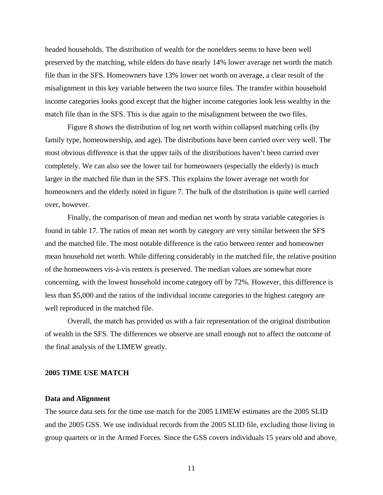headed households. The distribution of wealth for the nonelders seems to have been well preserved by the matching, while elders do have nearly 14% lower average net worth the match file than in the SFS. Homeowners have 13% lower net worth on average, a clear result of the misalignment in this key variable between the two source files. The transfer within household income categories looks good except that the higher income categories look less wealthy in the match file than in the SFS. This is due again to the misalignment between the two files.

Figure 8 shows the distribution of log net worth within collapsed matching cells (by family type, homeownership, and age). The distributions have been carried over very well. The most obvious difference is that the upper tails of the distributions haven't been carried over completely. We can also see the lower tail for homeowners (especially the elderly) is much larger in the matched file than in the SFS. This explains the lower average net worth for homeowners and the elderly noted in figure 7. The bulk of the distribution is quite well carried over, however.

Finally, the comparison of mean and median net worth by strata variable categories is found in table 17. The ratios of mean net worth by category are very similar between the SFS and the matched file. The most notable difference is the ratio between renter and homeowner mean household net worth. While differing considerably in the matched file, the relative position of the homeowners vis-à-vis renters is preserved. The median values are somewhat more concerning, with the lowest household income category off by 72%. However, this difference is less than \$5,000 and the ratios of the individual income categories to the highest category are well reproduced in the matched file.

Overall, the match has provided us with a fair representation of the original distribution of wealth in the SFS. The differences we observe are small enough not to affect the outcome of the final analysis of the LIMEW greatly.

### **2005 TIME USE MATCH**

### **Data and Alignment**

The source data sets for the time use match for the 2005 LIMEW estimates are the 2005 SLID and the 2005 GSS. We use individual records from the 2005 SLID file, excluding those living in group quarters or in the Armed Forces. Since the GSS covers individuals 15 years old and above,

11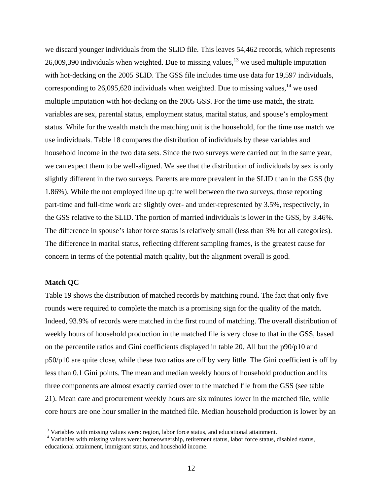we discard younger individuals from the SLID file. This leaves 54,462 records, which represents 26,009,390 individuals when weighted. Due to missing values,  $13$  we used multiple imputation with hot-decking on the 2005 SLID. The GSS file includes time use data for 19,597 individuals, corresponding to 26,095,620 individuals when weighted. Due to missing values,  $14$  we used multiple imputation with hot-decking on the 2005 GSS. For the time use match, the strata variables are sex, parental status, employment status, marital status, and spouse's employment status. While for the wealth match the matching unit is the household, for the time use match we use individuals. Table 18 compares the distribution of individuals by these variables and household income in the two data sets. Since the two surveys were carried out in the same year, we can expect them to be well-aligned. We see that the distribution of individuals by sex is only slightly different in the two surveys. Parents are more prevalent in the SLID than in the GSS (by 1.86%). While the not employed line up quite well between the two surveys, those reporting part-time and full-time work are slightly over- and under-represented by 3.5%, respectively, in the GSS relative to the SLID. The portion of married individuals is lower in the GSS, by 3.46%. The difference in spouse's labor force status is relatively small (less than 3% for all categories). The difference in marital status, reflecting different sampling frames, is the greatest cause for concern in terms of the potential match quality, but the alignment overall is good.

### **Match QC**

 $\overline{a}$ 

Table 19 shows the distribution of matched records by matching round. The fact that only five rounds were required to complete the match is a promising sign for the quality of the match. Indeed, 93.9% of records were matched in the first round of matching. The overall distribution of weekly hours of household production in the matched file is very close to that in the GSS, based on the percentile ratios and Gini coefficients displayed in table 20. All but the p90/p10 and p50/p10 are quite close, while these two ratios are off by very little. The Gini coefficient is off by less than 0.1 Gini points. The mean and median weekly hours of household production and its three components are almost exactly carried over to the matched file from the GSS (see table 21). Mean care and procurement weekly hours are six minutes lower in the matched file, while core hours are one hour smaller in the matched file. Median household production is lower by an

 $13$  Variables with missing values were: region, labor force status, and educational attainment.

<sup>&</sup>lt;sup>14</sup> Variables with missing values were: homeownership, retirement status, labor force status, disabled status, educational attainment, immigrant status, and household income.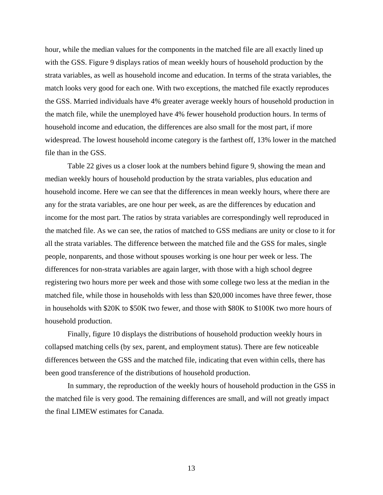hour, while the median values for the components in the matched file are all exactly lined up with the GSS. Figure 9 displays ratios of mean weekly hours of household production by the strata variables, as well as household income and education. In terms of the strata variables, the match looks very good for each one. With two exceptions, the matched file exactly reproduces the GSS. Married individuals have 4% greater average weekly hours of household production in the match file, while the unemployed have 4% fewer household production hours. In terms of household income and education, the differences are also small for the most part, if more widespread. The lowest household income category is the farthest off, 13% lower in the matched file than in the GSS.

Table 22 gives us a closer look at the numbers behind figure 9, showing the mean and median weekly hours of household production by the strata variables, plus education and household income. Here we can see that the differences in mean weekly hours, where there are any for the strata variables, are one hour per week, as are the differences by education and income for the most part. The ratios by strata variables are correspondingly well reproduced in the matched file. As we can see, the ratios of matched to GSS medians are unity or close to it for all the strata variables. The difference between the matched file and the GSS for males, single people, nonparents, and those without spouses working is one hour per week or less. The differences for non-strata variables are again larger, with those with a high school degree registering two hours more per week and those with some college two less at the median in the matched file, while those in households with less than \$20,000 incomes have three fewer, those in households with \$20K to \$50K two fewer, and those with \$80K to \$100K two more hours of household production.

Finally, figure 10 displays the distributions of household production weekly hours in collapsed matching cells (by sex, parent, and employment status). There are few noticeable differences between the GSS and the matched file, indicating that even within cells, there has been good transference of the distributions of household production.

In summary, the reproduction of the weekly hours of household production in the GSS in the matched file is very good. The remaining differences are small, and will not greatly impact the final LIMEW estimates for Canada.

13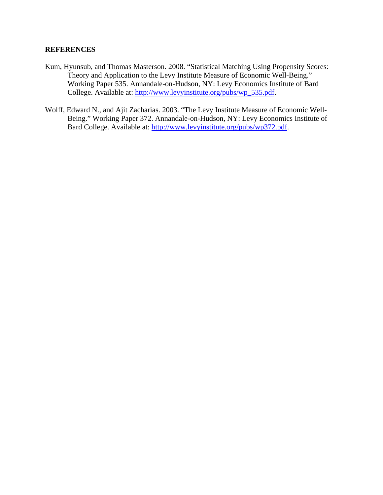### **REFERENCES**

- Kum, Hyunsub, and Thomas Masterson. 2008. "Statistical Matching Using Propensity Scores: Theory and Application to the Levy Institute Measure of Economic Well-Being." Working Paper 535. Annandale-on-Hudson, NY: Levy Economics Institute of Bard College. Available at: http://www.levyinstitute.org/pubs/wp\_535.pdf.
- Wolff, Edward N., and Ajit Zacharias. 2003. "The Levy Institute Measure of Economic Well-Being." Working Paper 372. Annandale-on-Hudson, NY: Levy Economics Institute of Bard College. Available at: [http://www.levyinstitute.org/pubs/wp372.pdf.](http://www.levyinstitute.org/pubs/wp372.pdf)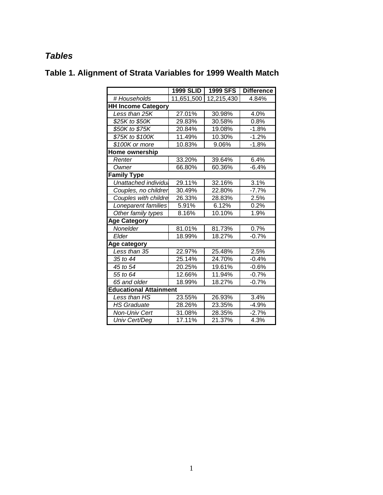## *Tables*

|                               | 1999 SLID  | <b>1999 SFS</b> | <b>Difference</b> |
|-------------------------------|------------|-----------------|-------------------|
| # Households                  | 11,651,500 | 12,215,430      | 4.84%             |
| <b>HH Income Category</b>     |            |                 |                   |
| Less than 25K                 | 27.01%     | 30.98%          | 4.0%              |
| \$25K to \$50K                | 29.83%     | 30.58%          | 0.8%              |
| \$50K to \$75K                | 20.84%     | 19.08%          | $-1.8%$           |
| \$75K to \$100K               | 11.49%     | 10.30%          | $-1.2%$           |
| \$100K or more                | 10.83%     | 9.06%           | $-1.8%$           |
| Home ownership                |            |                 |                   |
| Renter                        | 33.20%     | 39.64%          | 6.4%              |
| Owner                         | 66.80%     | 60.36%          | $-6.4%$           |
| <b>Family Type</b>            |            |                 |                   |
| Unattached individu           | 29.11%     | 32.16%          | 3.1%              |
| Couples, no childrer          | 30.49%     | 22.80%          | $-7.7%$           |
| Couples with childre          | 26.33%     | 28.83%          | 2.5%              |
| Loneparent families           | 5.91%      | 6.12%           | 0.2%              |
| Other family types            | 8.16%      | 10.10%          | 1.9%              |
| <b>Age Category</b>           |            |                 |                   |
| Nonelder                      | 81.01%     | 81.73%          | 0.7%              |
| Elder                         | 18.99%     | 18.27%          | $-0.7%$           |
| Age category                  |            |                 |                   |
| Less than 35                  | 22.97%     | 25.48%          | 2.5%              |
| 35 to 44                      | 25.14%     | 24.70%          | $-0.4%$           |
| 45 to 54                      | 20.25%     | 19.61%          | $-0.6%$           |
| 55 to 64                      | 12.66%     | 11.94%          | $-0.7%$           |
| $65$ and older                | 18.99%     | 18.27%          | $-0.7%$           |
| <b>Educational Attainment</b> |            |                 |                   |
| Less than HS                  | 23.55%     | 26.93%          | 3.4%              |
| <b>HS Graduate</b>            | 28.26%     | 23.35%          | $-4.9%$           |
| Non-Univ Cert                 | 31.08%     | 28.35%          | $-2.7%$           |
| Univ Cert/Deg                 | 17.11%     | 21.37%          | 4.3%              |

# **Table 1. Alignment of Strata Variables for 1999 Wealth Match**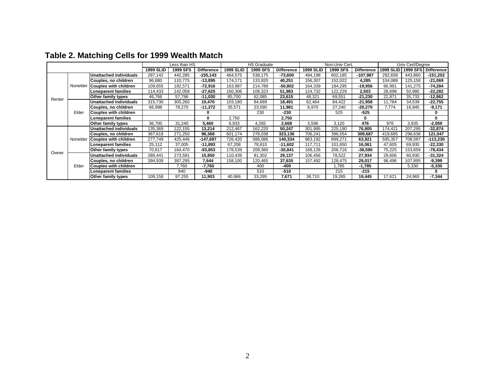|        |                    |                               | ess than HS |          |                   |                  | <b>HS Graduate</b> |                   | Non-Univ Cert.   |          |                   | Univ Cert/Degree |          |                   |
|--------|--------------------|-------------------------------|-------------|----------|-------------------|------------------|--------------------|-------------------|------------------|----------|-------------------|------------------|----------|-------------------|
|        |                    |                               | 1999 SLID   | 1999 SFS | <b>Difference</b> | <b>1999 SLID</b> | 1999 SFS           | <b>Difference</b> | <b>1999 SLID</b> | 1999 SFS | <b>Difference</b> | <b>1999 SLID</b> | 1999 SFS | <b>Difference</b> |
|        |                    | Unattached individuals        | 287,142     | 442,285  | -155,143          | 464,575          | 538,175            | $-73,600$         | 494,198          | 602,185  | $-107,987$        | 292,658          | 443,860  | $-151,202$        |
|        |                    | Couples, no children          | 96,880      | 110,775  | $-13,895$         | 174,171          | 133,920            | 40,251            | 156,307          | 152,022  | 4,285             | 104,089          | 125,158  | $-21,069$         |
|        | Nonelder           | <b>Couples with children</b>  | 109,655     | 182,571  | $-72,916$         | 163,987          | 214,789            | $-50,802$         | 164,339          | 184,295  | -19,956           | 66,991           | 141,275  | $-74,284$         |
|        |                    | Loneparent families           | 114,433     | 142,058  | $-27,625$         | 160,306          | 108,323            | 51,983            | 124,732          | 122,229  | 2,503             | 28,698           | 50,980   | $-22,282$         |
| Renter |                    | Other family types            | 46,766      | 57,796   | $-11,030$         | 85,700           | 62,085             | 23,615            | 48,321           | 69,551   | $-21,230$         | 22,871           | 35,733   | $-12,862$         |
|        |                    | Unattached individuals        | 315,730     | 305,260  | 10,470            | 103,180          | 84,689             | 18,491            | 62,464           | 84,422   | $-21,958$         | 11,784           | 34,539   | $-22,755$         |
|        |                    | Couples, no children          | 66,998      | 78,270   | $-11,272$         | 35,571           | 23,590             | 11,981            | 6,970            | 27,240   | -20,270           | 7,774            | 16,945   | $-9,171$          |
|        | Elder              | <b>Couples with children</b>  |             |          | 0                 |                  | 230                | -230              |                  | 525      | -525              |                  |          | 0                 |
|        |                    | <b>Loneparent families</b>    |             |          | 0                 | 2,750            |                    | 2,750             |                  |          | 0                 |                  |          | 0                 |
|        |                    | Other family types            | 36,700      | 31,240   | 5,460             | 6,933            | 4,265              | 2,668             | 3,596            | 3,120    | 476               | 976              | 3,935    | $-2,959$          |
|        |                    | <b>Unattached individuals</b> | 135,369     | 122,155  | 13,214            | 212,467          | 162,220            | 50,247            | 301,995          | 225,190  | 76,805            | 174,421          | 207,295  | $-32,874$         |
|        |                    | Couples, no children          | 367,618     | 271,250  | 96,368            | 601,174          | 278,038            | 323,136           | 706,241          | 396,554  | 309,687           | 419,685          | 298,638  | 121,047           |
|        | Nonelder           | <b>Couples with children</b>  | 277,749     | 425,446  | -147,697          | 726,420          | 586,086            | 140,334           | 963,192          | 899,271  | 63,921            | 595,357          | 708,587  | $-113,230$        |
|        |                    | <b>Loneparent families</b>    | 25,112      | 37,005   | $-11,893$         | 67,208           | 78,810             | $-11,602$         | 117.711          | 101,650  | 16,061            | 47,605           | 69,935   | $-22,330$         |
| Owner  |                    | Other family types            | 70,617      | 164,470  | -93,853           | 178,539          | 209,380            | $-30,841$         | 168,126          | 206,716  | $-38,590$         | 75,225           | 153,659  | -78,434           |
|        |                    | Unattached individuals        | 289,441     | 273,591  | 15,850            | 110,439          | 81,302             | 29,137            | 106,456          | 78,522   | 27,934            | 29,606           | 60,930   | $-31,324$         |
|        |                    | Couples, no children          | 394,939     | 387,295  | 7,644             | 158,100          | 120,465            | 37,635            | 157,492          | 128,475  | 29,017            | 98,496           | 107,895  | $-9,399$          |
|        | Elder              | <b>Couples with children</b>  |             | 7,760    | -7,760            |                  | 400                | -400              |                  | 1,785    | -1,785            |                  | 5,330    | $-5,330$          |
|        |                    | <b>Loneparent families</b>    |             | 940      | -940              |                  | 510                | $-510$            |                  | 215      | $-215$            |                  |          | $\bf{0}$          |
|        | Other family types | 109,158                       | 97,255      | 11.903   | 40,966            | 33,295           | 7,671              | 38.710            | 19.265           | 19,445   | 17.621            | 24,965           | $-7,344$ |                   |

# **Table 2. Matching Cells for 1999 Wealth Match**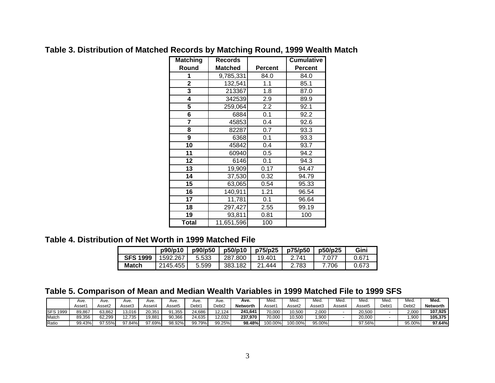| <b>Matching</b> | <b>Records</b> |                | <b>Cumulative</b> |
|-----------------|----------------|----------------|-------------------|
| Round           | <b>Matched</b> | <b>Percent</b> | <b>Percent</b>    |
| 1               | 9,785,331      | 84.0           | 84.0              |
| $\overline{2}$  | 132,541        | 1.1            | 85.1              |
| 3               | 213367         | 1.8            | 87.0              |
| 4               | 342539         | 2.9            | 89.9              |
| 5               | 259,064        | 2.2            | 92.1              |
| 6               | 6884           | 0.1            | 92.2              |
| 7               | 45853          | 0.4            | 92.6              |
| 8               | 82287          | 0.7            | 93.3              |
| 9               | 6368           | 0.1            | 93.3              |
| 10              | 45842          | 0.4            | 93.7              |
| 11              | 60940          | 0.5            | 94.2              |
| 12              | 6146           | 0.1            | 94.3              |
| 13              | 19,909         | 0.17           | 94.47             |
| 14              | 37,530         | 0.32           | 94.79             |
| 15              | 63,065         | 0.54           | 95.33             |
| 16              | 140,911        | 1.21           | 96.54             |
| 17              | 11,781         | 0.1            | 96.64             |
| 18              | 297,427        | 2.55           | 99.19             |
| 19              | 93,811         | 0.81           | 100               |
| <b>Total</b>    | 11,651,596     | 100            |                   |

### **Table 3. Distribution of Matched Records by Matching Round, 1999 Wealth Match**

### **Table 4. Distribution of Net Worth in 1999 Matched File**

|                 | p90/p10  | p90/p50 | p50/p10 | p75/p25    | p75/p50 | p50/p25 | Gini  |
|-----------------|----------|---------|---------|------------|---------|---------|-------|
| <b>SFS 1999</b> | 1592.267 | 5.533   | 287.800 | 19.401     | 2 741   |         | 0.671 |
| Match           | 2145.455 | 5.599   | 383.182 | 444<br>ኅ 1 | 2.783   | 7.706   | 0.673 |

## **Table 5. Comparison of Mean and Median Wealth Variables in 1999 Matched File to 1999 SFS**

|                 | Ave.               | Ave.   | Ave.   | Ave.   | Ave.   | Ave.   | Ave.   | Ave.         | Med.    | Med.    | Med.             | Med.   | Mea.   | Med.  | Med.              | Med.     |
|-----------------|--------------------|--------|--------|--------|--------|--------|--------|--------------|---------|---------|------------------|--------|--------|-------|-------------------|----------|
|                 | Asset <sup>.</sup> | Asset2 | Asset3 | Asset4 | Asset5 | Debt1  | Debt2  | Networth     | Asset^  | Asset2  | Asset3           | Asset4 | Asset5 | Debt1 | Debt <sub>2</sub> | Networth |
| <b>SFS 1999</b> | 89,867             | 63,862 | 13.016 | 20.351 | 91,355 | 24,686 | 2.124  | i.641<br>241 | 70,000  | 10,500  | 2,000            |        | 20,500 |       | 2,000             | 107.925  |
| Match           | 89.356             | 62.299 | 2.735  | 19.881 | 90.366 | 24.635 | 12.032 | 237.970      | 70.000  | 10.500  | .90 <sub>C</sub> |        | 20.000 |       | .900              | 105.375  |
| Ratio           | 99.43%             | 97.55% | 97.84% | 97.69% | 98.92% | 99.79% | 99.25% | 98.48%       | 100.00% | 100.00% | 95.00%           |        | 97.56% |       | 95.00%            | 97.64%   |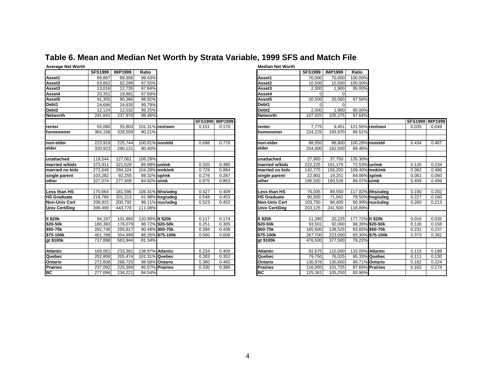### **Table 6. Mean and Median Net Worth by Strata Variable, 1999 SFS and Match File**

| <b>Average Net Worth</b> |                |                |                  |                   |       |                        | <b>Median Net Worth</b> |                |                |         |
|--------------------------|----------------|----------------|------------------|-------------------|-------|------------------------|-------------------------|----------------|----------------|---------|
|                          | <b>SFS1999</b> | <b>IMP1999</b> | Ratio            |                   |       |                        |                         | <b>SFS1999</b> | <b>IMP1999</b> | Ratio   |
| Asset1                   | 89.867         | 89.356         | 99.43%           |                   |       |                        | Asset1                  | 70.000         | 70.000         | 100.00% |
| Asset2                   | 63,862         | 62,299         | 97.55%           |                   |       |                        | Asset2                  | 10,500         | 10,500         | 100.00% |
| Asset3                   | 13,016         | 12,735         | 97.84%           |                   |       |                        | Asset3                  | 2,000          | 1,900          | 95.00%  |
| Asset4                   | 20,351         | 19,881         | 97.69%           |                   |       |                        | Asset4                  | $\Omega$       | $\Omega$       |         |
| Asset5                   | 91,355         | 90,366         | 98.92%           |                   |       |                        | Asset5                  | 20.500         | 20,000         | 97.56%  |
| Debt1                    | 24,686         | 24,635         | 99.79%           |                   |       |                        | Debt1                   | $\Omega$       | $\Omega$       |         |
| Debt <sub>2</sub>        | 12,124         | 12,032         | 99.25%           |                   |       |                        | Debt <sub>2</sub>       | 2,000          | 1,900          | 95.00%  |
| <b>Networth</b>          | 241,641        | 237,970        | 98.48%           |                   |       |                        | <b>Networth</b>         | 107,925        | 105,375        | 97.64%  |
|                          |                |                |                  |                   |       | <b>SFS1999 IMP1999</b> |                         |                |                |         |
| renter                   | 55,080         | 55,803         |                  | 101.31% ren/own   | 0.151 | 0.170                  | renter                  | 7,775          | 9,451          | 121.56% |
| homeowner                | 364,156        | 328,509        | 90.21%           |                   |       |                        | homeowner               | 224,225        | 193,970        | 86.51%  |
|                          |                |                |                  |                   |       |                        |                         |                |                |         |
| non-elder                | 223,919        | 225,744        |                  | 100.81% non/eld   | 0.698 | 0.778                  | non-elder               | 88,550         | 88,800         | 100.28% |
| elder                    | 320.923        | 290, 121       | 90.40%           |                   |       |                        | elder                   | 204.000        | 182,500        | 89.46%  |
|                          |                |                |                  |                   |       |                        |                         |                |                |         |
| unattached               | 119,544        | 127,061        | 106.29%          |                   |       |                        | unattached              | 27,900         | 37,750         | 135.30% |
| married w/kids           | 373,911        | 321.529        | 85.99% un/mk     |                   | 0.320 | 0.395                  | married w/kids          | 222.225        | 161,175        | 72.53%  |
| married no kids          | 272,649        | 284,324        |                  | 104.28% mnk/mk    | 0.729 | 0.884                  | married no kids         | 142,775        | 156,200        | 109.40% |
| single parent            | 103,282        | 92,255         | 89.32% sp/mk     |                   | 0.276 | 0.287                  | single parent           | 22,901         | 19,251         | 84.06%  |
| other                    | 327,074        | 277,409        | 84.82% o/mk      |                   | 0.875 | 0.863                  | other                   | 186,500        | 160,526        | 86.07%  |
|                          |                |                |                  |                   |       |                        |                         |                |                |         |
| Less than HS             | 170,664        | 181,596        |                  | 106.41% Iths/udeg | 0.427 | 0.409                  | Less than HS            | 76,005         | 89,550         | 117.82% |
| <b>HS Graduate</b>       | 218,766        | 201,213        |                  | 91.98% hsg/udeg   | 0.548 | 0.453                  | <b>HS Graduate</b>      | 90,500         | 71,041         | 78.50%  |
| <b>Non-Univ Cert</b>     | 208,915        | 200,792        |                  | 96.11% nuc/udeg   | 0.523 | 0.452                  | <b>Non-Univ Cert</b>    | 103,750        | 94,400         | 90.99%  |
| <b>Univ Cert/Dea</b>     | 399,499        | 443,778        | 111.08%          |                   |       |                        | Univ Cert/Deg           | 203,125        | 241,500        | 118.89% |
|                          |                |                |                  |                   |       |                        |                         |                |                |         |
| It $$20k$                | 84,197         | 101,860        | 120.98% It \$20k |                   | 0.117 | 0.174                  | It \$20k                | 11,380         | 20,225         | 177.72% |
| \$20-50k                 | 180,383        | 178,079        |                  | 98.72% \$20-50k   | 0.251 | 0.305                  | \$20-50k                | 93,501         | 92,000         | 98.39%  |
| \$50-75k                 | 282,736        | 255,817        |                  | 90.48% \$50-75k   | 0.394 | 0.438                  | \$50-75k                | 165,600        | 138,525        | 83.65%  |
| \$75-100k                | 401,788        | 354,999        |                  | 88.35% \$75-100k  | 0.560 | 0.608                  | \$75-100k               | 267,700        | 223,000        | 83.30%  |
| gt \$100k                | 717,898        | 583,944        | 81.34%           |                   |       |                        | gt \$100k               | 476,500        | 377,500        | 79.22%  |
|                          |                |                |                  |                   |       |                        |                         |                |                |         |
| <b>Atlantic</b>          | 168,061        | 233,381        |                  | 138.87% Atlantic  | 0.234 | 0.400                  | <b>Atlantic</b>         | 82.675         | 110.000        | 133.05% |
| Quebec                   | 202,808        | 205,474        |                  | 101.31% Quebec    | 0.283 | 0.352                  | Quebec                  | 79,750         | 76,025         | 95.33%  |
| Ontario                  | 272,608        | 268,725        |                  | 98.58% Ontario    | 0.380 | 0.460                  | Ontario                 | 130,976        | 130,600        | 99.71%  |
| <b>Prairies</b>          | 237,092        | 225,399        |                  | 95.07% Prairies   | 0.330 | 0.386                  | <b>Prairies</b>         | 116,000        | 101,725        | 87.69%  |
| BC                       | 277,066        | 234,221        | 84.54%           |                   |       |                        | lвc                     | 125,361        | 105,250        | 83.96%  |

| Average net nortm  |                |                |                  |                   |                 |       |                       |                |                |                  |                   |       |                        |
|--------------------|----------------|----------------|------------------|-------------------|-----------------|-------|-----------------------|----------------|----------------|------------------|-------------------|-------|------------------------|
|                    | <b>SFS1999</b> | <b>IMP1999</b> | Ratio            |                   |                 |       |                       | <b>SFS1999</b> | <b>IMP1999</b> | Ratio            |                   |       |                        |
| Asset1             | 89,867         | 89,356         | 99.43%           |                   |                 |       | Asset1                | 70,000         | 70,000         | 100.00%          |                   |       |                        |
| Asset2             | 63,862         | 62,299         | 97.55%           |                   |                 |       | Asset2                | 10,500         | 10,500         | 100.00%          |                   |       |                        |
| Asset3             | 13,016         | 12,735         | 97.84%           |                   |                 |       | Asset3                | 2,000          | 1,900          | 95.00%           |                   |       |                        |
| Asset4             | 20,351         | 19,881         | 97.69%           |                   |                 |       | Asset4                | $\Omega$       |                |                  |                   |       |                        |
| Asset5             | 91,355         | 90,366         | 98.92%           |                   |                 |       | Asset5                | 20,500         | 20,000         | 97.56%           |                   |       |                        |
| Debt1              | 24,686         | 24,635         | 99.79%           |                   |                 |       | Debt1                 | $\Omega$       |                |                  |                   |       |                        |
| Debt2              | 12,124         | 12,032         | 99.25%           |                   |                 |       | Debt <sub>2</sub>     | 2,000          | 1,900          | 95.00%           |                   |       |                        |
| Networth           | 241,641        | 237,970        | 98.48%           |                   |                 |       | <b>Networth</b>       | 107,925        | 105,375        | 97.64%           |                   |       |                        |
|                    |                |                |                  |                   | SFS1999 IMP1999 |       |                       |                |                |                  |                   |       | <b>SFS1999 IMP1999</b> |
| renter             | 55.080         | 55,803         | 101.31% ren/own  |                   | 0.151           | 0.170 | renter                | 7,775          | 9,451          | 121.56% ren/own  |                   | 0.035 | 0.049                  |
| homeowner          | 364,156        | 328,509        | 90.21%           |                   |                 |       | homeowner             | 224,225        | 193,970        | 86.51%           |                   |       |                        |
|                    |                |                |                  |                   |                 |       |                       |                |                |                  |                   |       |                        |
| non-elder          | 223,919        | 225,744        | 100.81% non/eld  |                   | 0.698           | 0.778 | Inon-elder            | 88,550         | 88,800         | 100.28% non/eld  |                   | 0.434 | 0.487                  |
| elder              | 320,923        | 290,121        | 90.40%           |                   |                 |       | elder                 | 204,000        | 182,500        | 89.46%           |                   |       |                        |
|                    |                |                |                  |                   |                 |       |                       |                |                |                  |                   |       |                        |
| unattached         | 119,544        | 127,061        | 106.29%          |                   |                 |       | unattached            | 27,900         | 37,750         | 135.30%          |                   |       |                        |
| married w/kids     | 373,911        | 321,529        | 85.99% un/mk     |                   | 0.320           | 0.395 | <b>married w/kids</b> | 222,225        | 161,175        | 72.53% un/mk     |                   | 0.126 | 0.234                  |
| married no kids    | 272,649        | 284,324        | 104.28% mnk/mk   |                   | 0.729           | 0.884 | married no kids       | 142,775        | 156,200        | 109.40% mnk/mk   |                   | 0.382 | 0.486                  |
| single parent      | 103,282        | 92,255         | 89.32% sp/mk     |                   | 0.276           | 0.287 | single parent         | 22,901         | 19.251         | 84.06% sp/mk     |                   | 0.061 | 0.060                  |
| other              | 327,074        | 277,409        | 84.82% o/mk      |                   | 0.875           | 0.863 | other                 | 186,500        | 160,526        | 86.07% o/mk      |                   | 0.499 | 0.499                  |
|                    |                |                |                  |                   |                 |       |                       |                |                |                  |                   |       |                        |
| Less than HS       | 170,664        | 181,596        |                  | 106.41% Iths/udeg | 0.427           | 0.409 | Less than HS          | 76,005         | 89,550         |                  | 117.82% Iths/udeg | 0.190 | 0.202                  |
| <b>HS Graduate</b> | 218,766        | 201,213        |                  | 91.98% hsg/udeg   | 0.548           | 0.453 | <b>HS Graduate</b>    | 90,500         | 71,041         |                  | 78.50% hsg/udeg   | 0.227 | 0.160                  |
| Non-Univ Cert      | 208,915        | 200,792        |                  | 96.11% nuc/udeg   | 0.523           | 0.452 | <b>Non-Univ Cert</b>  | 103,750        | 94,400         |                  | 90.99% nuc/udeg   | 0.260 | 0.213                  |
| Univ Cert/Deg      | 399,499        | 443,778        | 111.08%          |                   |                 |       | <b>Univ Cert/Deg</b>  | 203,125        | 241,500        | 118.89%          |                   |       |                        |
|                    |                |                |                  |                   |                 |       |                       |                |                |                  |                   |       |                        |
| lt \$20k           | 84,197         | 101,860        | 120.98% It \$20k |                   | 0.117           | 0.174 | It \$20k              | 11.380         | 20,225         | 177.72% It \$20k |                   | 0.016 | 0.035                  |
| \$20-50k           | 180,383        | 178,079        |                  | 98.72% \$20-50k   | 0.251           | 0.305 | \$20-50k              | 93,501         | 92,000         |                  | 98.39% \$20-50k   | 0.130 | 0.158                  |
| \$50-75k           | 282,736        | 255,817        |                  | 90.48% \$50-75k   | 0.394           | 0.438 | \$50-75k              | 165,600        | 138,525        |                  | 83.65% \$50-75k   | 0.231 | 0.237                  |
| \$75-100k          | 401,788        | 354,999        |                  | 88.35% \$75-100k  | 0.560           | 0.608 | \$75-100k             | 267,700        | 223,000        |                  | 83.30% \$75-100k  | 0.373 | 0.382                  |
| gt \$100k          | 717.898        | 583,944        | 81.34%           |                   |                 |       | gt \$100k             | 476,500        | 377,500        | 79.22%           |                   |       |                        |
|                    |                |                |                  |                   |                 |       |                       |                |                |                  |                   |       |                        |
| Atlantic           | 168,061        | 233,381        | 138.87% Atlantic |                   | 0.234           | 0.400 | Atlantic              | 82,675         | 110,000        | 133.05% Atlantic |                   | 0.115 | 0.188                  |
| Quebec             | 202,808        | 205,474        | 101.31% Quebec   |                   | 0.283           | 0.352 | Quebec                | 79,750         | 76,025         |                  | 95.33% Quebec     | 0.111 | 0.130                  |
| Ontario            | 272,608        | 268,725        |                  | 98.58% Ontario    | 0.380           | 0.460 | <b>Ontario</b>        | 130,976        | 130,600        |                  | 99.71% Ontario    | 0.182 | 0.224                  |
| Prairies           | 237,092        | 225,399        |                  | 95.07% Prairies   | 0.330           | 0.386 | <b>Prairies</b>       | 116,000        | 101,725        |                  | 87.69% Prairies   | 0.162 | 0.174                  |
| ВC                 | 277,066        | 234,221        | 84.54%           |                   |                 |       | IBC.                  | 125,361        | 105,250        | 83.96%           |                   |       |                        |

#### 4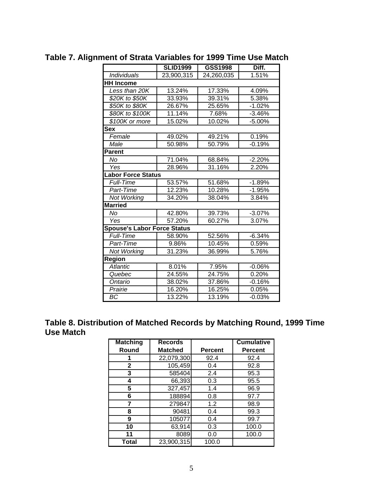|                                    | <b>SLID1999</b> | GSS1998    | Diff.    |
|------------------------------------|-----------------|------------|----------|
| <b>Individuals</b>                 | 23,900,315      | 24,260,035 | 1.51%    |
| <b>HH Income</b>                   |                 |            |          |
| Less than 20K                      | 13.24%          | 17.33%     | 4.09%    |
| \$20K to \$50K                     | 33.93%          | 39.31%     | 5.38%    |
| \$50K to \$80K                     | 26.67%          | 25.65%     | $-1.02%$ |
| \$80K to \$100K                    | 11.14%          | 7.68%      | $-3.46%$ |
| \$100K or more                     | 15.02%          | 10.02%     | $-5.00%$ |
| Sex                                |                 |            |          |
| Female                             | 49.02%          | 49.21%     | 0.19%    |
| Male                               | 50.98%          | 50.79%     | $-0.19%$ |
| <b>Parent</b>                      |                 |            |          |
| No                                 | 71.04%          | 68.84%     | $-2.20%$ |
| Yes                                | 28.96%          | 31.16%     | 2.20%    |
| <b>Labor Force Status</b>          |                 |            |          |
| <b>Full-Time</b>                   | 53.57%          | 51.68%     | $-1.89%$ |
| Part-Time                          | 12.23%          | 10.28%     | $-1.95%$ |
| Not Working                        | 34.20%          | 38.04%     | 3.84%    |
| <b>Married</b>                     |                 |            |          |
| No                                 | 42.80%          | 39.73%     | $-3.07%$ |
| Yes                                | 57.20%          | 60.27%     | 3.07%    |
| <b>Spouse's Labor Force Status</b> |                 |            |          |
| <b>Full-Time</b>                   | 58.90%          | 52.56%     | $-6.34%$ |
| Part-Time                          | 9.86%           | 10.45%     | 0.59%    |
| <b>Not Working</b>                 | 31.23%          | 36.99%     | 5.76%    |
| Region                             |                 |            |          |
| <b>Atlantic</b>                    | 8.01%           | 7.95%      | $-0.06%$ |
| Quebec                             | 24.55%          | 24.75%     | 0.20%    |
| Ontario                            | 38.02%          | 37.86%     | $-0.16%$ |
| Prairie                            | 16.20%          | 16.25%     | 0.05%    |
| BC                                 | 13.22%          | 13.19%     | $-0.03%$ |

## **Table 7. Alignment of Strata Variables for 1999 Time Use Match**

### **Table 8. Distribution of Matched Records by Matching Round, 1999 Time Use Match**

| <b>Matching</b> | <b>Records</b> |                | <b>Cumulative</b> |
|-----------------|----------------|----------------|-------------------|
| Round           | <b>Matched</b> | <b>Percent</b> | <b>Percent</b>    |
|                 | 22,079,300     | 92.4           | 92.4              |
| 2               | 105,459        | 0.4            | 92.8              |
| 3               | 585404         | 2.4            | 95.3              |
| 4               | 66,393         | 0.3            | 95.5              |
| 5               | 327,457        | 1.4            | 96.9              |
| 6               | 188894         | 0.8            | 97.7              |
| 7               | 279847         | 1.2            | 98.9              |
| 8               | 90481          | 0.4            | 99.3              |
| 9               | 105077         | 0.4            | 99.7              |
| 10              | 63,914         | 0.3            | 100.0             |
| 11              | 8089           | 0.0            | 100.0             |
| Total           | 23,900,315     | 100.0          |                   |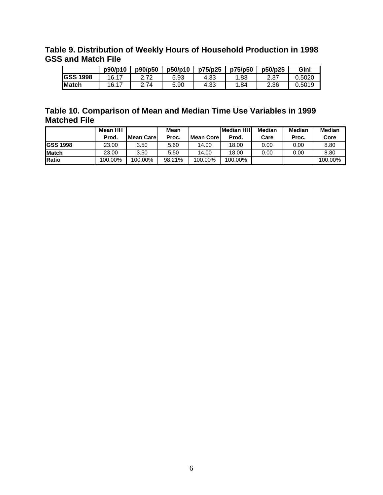### **Table 9. Distribution of Weekly Hours of Household Production in 1998 GSS and Match File**

|                 | p90/p10 | p90/p50 | p50/p10 | p75/p25 | p75/p50 | p50/p25 | Gini   |
|-----------------|---------|---------|---------|---------|---------|---------|--------|
| <b>GSS 1998</b> | 16.17   | רד ר    | 5.93    | 4.33    | 1.83    | 2.37    | 0.5020 |
| Match           | 16.17   | 2.74    | 5.90    | 4.33    | 1.84    | 2.36    | 0.5019 |

### **Table 10. Comparison of Mean and Median Time Use Variables in 1999 Matched File**

|                 | Mean HH |                   | Mean   |               | lMedian HHI | Median | <b>Median</b> | <b>Median</b> |
|-----------------|---------|-------------------|--------|---------------|-------------|--------|---------------|---------------|
|                 | Prod.   | <b>Mean Carel</b> | Proc.  | l Mean Core I | Prod.       | Care   | Proc.         | Core          |
| <b>GSS 1998</b> | 23.00   | 3.50              | 5.60   | 14.00         | 18.00       | 0.00   | 0.00          | 8.80          |
| <b>IMatch</b>   | 23.00   | 3.50              | 5.50   | 14.00         | 18.00       | 0.00   | 0.00          | 8.80          |
| Ratio           | 100.00% | 100.00%           | 98.21% | 100.00%       | 100.00%     |        |               | 100.00%       |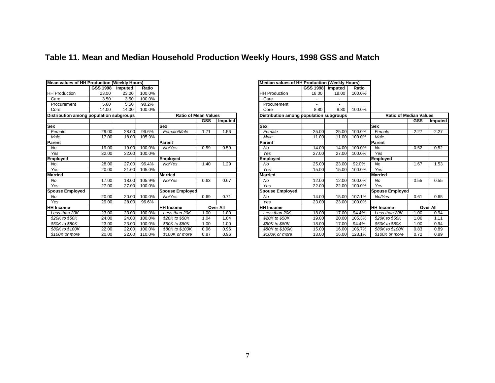| <b>Mean values of HH Production (Weekly Hours)</b> |          |         |        |                        |                             |          |                        | Median values of HH Production (Weekly Hours) |         |        |                        |        |                               |
|----------------------------------------------------|----------|---------|--------|------------------------|-----------------------------|----------|------------------------|-----------------------------------------------|---------|--------|------------------------|--------|-------------------------------|
|                                                    | GSS 1998 | Imputed | Ratio  |                        |                             |          |                        | GSS 1998                                      | Imputed | Ratio  |                        |        |                               |
| <b>HH Production</b>                               | 23.00    | 23.00   | 100.0% |                        |                             |          | <b>HH Production</b>   | 18.00                                         | 18.00   | 100.0% |                        |        |                               |
| Care                                               | 3.50     | 3.50    | 100.0% |                        |                             |          | Care                   |                                               |         |        |                        |        |                               |
| Procurement                                        | 5.60     | 5.50    | 98.2%  |                        |                             |          | Procurement            |                                               |         |        |                        |        |                               |
| Core                                               | 14.00    | 14.00   | 100.0% |                        |                             |          | Core                   | 8.80                                          | 8.80    | 100.0% |                        |        |                               |
| Distribution among population subgroups            |          |         |        |                        | <b>Ratio of Mean Values</b> |          |                        | Distribution among population subgroups       |         |        |                        |        | <b>Ratio of Median Values</b> |
|                                                    |          |         |        |                        | <b>GSS</b>                  | Imputed  |                        |                                               |         |        |                        | GSS In |                               |
| Sex                                                |          |         |        | <b>Sex</b>             |                             |          | <b>Sex</b>             |                                               |         |        | <b>Sex</b>             |        |                               |
| Female                                             | 29.00    | 28.00   | 96.6%  | Female/Male            | 1.71                        | 1.56     | Female                 | 25.00                                         | 25.00   | 100.0% | Female                 | 2.27   |                               |
| Male                                               | 17.00    | 18.00   | 105.9% |                        |                             |          | Male                   | 11.00                                         | 11.00   | 100.0% | Male                   |        |                               |
| Parent                                             |          |         |        | Parent                 |                             |          | Parent                 |                                               |         |        | Parent                 |        |                               |
| No                                                 | 19.00    | 19.00   | 100.0% | No/Yes                 | 0.59                        | 0.59     | No                     | 14.00                                         | 14.00   | 100.0% | No                     | 0.52   |                               |
| Yes                                                | 32.00    | 32.00   | 100.0% |                        |                             |          | Yes                    | 27.00                                         | 27.00   | 100.0% | Yes                    |        |                               |
| Employed                                           |          |         |        | Employed               |                             |          | Employed               |                                               |         |        | <b>Employed</b>        |        |                               |
| No                                                 | 28.00    | 27.00   | 96.4%  | No/Yes                 | 1.40                        | 1.29     | No                     | 25.00                                         | 23.00   | 92.0%  | No                     | 1.67   |                               |
| Yes                                                | 20.00    | 21.00   | 105.0% |                        |                             |          | Yes                    | 15.00                                         | 15.00   | 100.0% | Yes                    |        |                               |
| Married                                            |          |         |        | <b>Married</b>         |                             |          | Married                |                                               |         |        | <b>Married</b>         |        |                               |
| No                                                 | 17.00    | 18.00   | 105.9% | No/Yes                 | 0.63                        | 0.67     | No                     | 12.00                                         | 12.00   | 100.0% | No                     | 0.55   |                               |
| Yes                                                | 27.00    | 27.00   | 100.0% |                        |                             |          | Yes                    | 22.00                                         | 22.00   | 100.0% | Yes                    |        |                               |
| <b>Spouse Employed</b>                             |          |         |        | <b>Spouse Employed</b> |                             |          | <b>Spouse Employed</b> |                                               |         |        | <b>Spouse Employed</b> |        |                               |
| No                                                 | 20.00    | 20.00   | 100.0% | No/Yes                 | 0.69                        | 0.71     | No                     | 14.00                                         | 15.00   | 107.1% | No/Yes                 | 0.61   |                               |
| Yes                                                | 29.00    | 28.00   | 96.6%  |                        |                             |          | Yes                    | 23.00                                         | 23.00   | 100.0% |                        |        |                               |
| <b>HH Income</b>                                   |          |         |        | <b>HH Income</b>       |                             | Over All | <b>HH</b> Income       |                                               |         |        | <b>HH Income</b>       | Over / |                               |
| Less than 20K                                      | 23.00    | 23.00   | 100.0% | Less than 20K          | 1.00                        | 1.00     | Less than 20K          | 18.00                                         | 17.00   | 94.4%  | Less than 20K          | 1.00   |                               |
| \$20K to \$50K                                     | 24.00    | 24.00   | 100.0% | \$20K to \$50K         | 1.04                        | 1.04     | \$20K to \$50K         | 19.00                                         | 20.00   | 105.3% | \$20K to \$50K         | 1.06   |                               |
| \$50K to \$80K                                     | 23.00    | 23.00   | 100.0% | \$50K to \$80K         | 1.00                        | 1.00     | \$50K to \$80K         | 18.00                                         | 17.00   | 94.4%  | \$50K to \$80K         | 1.00   |                               |
| \$80K to \$100K                                    | 22.00    | 22.00   | 100.0% | \$80K to \$100K        | 0.96                        | 0.96     | \$80K to \$100K        | 15.00                                         | 16.00   | 106.7% | \$80K to \$100K        | 0.83   |                               |
| \$100K or more                                     | 20.00    | 22.00   | 110.0% | \$100K or more         | 0.87                        | 0.96     | \$100K or more         | 13.00                                         | 16.00   | 123.1% | \$100K or more         | 0.72   |                               |

# **Table 11. Mean and Median Household Production Weekly Hours, 1998 GSS and Match**

|                          |                             |            |                 | <b>Median values of HH Production (Weekly Hours)</b> |          |         |        |                               |            |          |
|--------------------------|-----------------------------|------------|-----------------|------------------------------------------------------|----------|---------|--------|-------------------------------|------------|----------|
| io.                      |                             |            |                 |                                                      | GSS 1998 | Imputed | Ratio  |                               |            |          |
| $\frac{10}{6}$           |                             |            |                 | <b>HH Production</b>                                 | 18.00    | 18.00   | 100.0% |                               |            |          |
| )%<br>%                  |                             |            |                 | Care                                                 |          |         |        |                               |            |          |
|                          |                             |            |                 | Procurement                                          |          |         |        |                               |            |          |
| $\overline{\frac{9}{6}}$ |                             |            |                 | Core                                                 | 8.80     | 8.80    | 100.0% |                               |            |          |
|                          | <b>Ratio of Mean Values</b> |            |                 | Distribution among population subgroups              |          |         |        | <b>Ratio of Median Values</b> |            |          |
|                          |                             | <b>GSS</b> | Imputed         |                                                      |          |         |        |                               | <b>GSS</b> | Imputed  |
|                          | <b>Sex</b>                  |            |                 | Sex                                                  |          |         |        | <b>Sex</b>                    |            |          |
| ℅                        | Female/Male                 | 1.71       | 1.56            | Female                                               | 25.00    | 25.00   | 100.0% | Female                        | 2.27       | 2.27     |
| $\overline{9\%}$         |                             |            |                 | Male                                                 | 11.00    | 11.00   | 100.0% | Male                          |            |          |
|                          | Parent                      |            |                 | Parent                                               |          |         |        | Parent                        |            |          |
| $\overline{\frac{9}{6}}$ | No/Yes                      | 0.59       | 0.59            | No                                                   | 14.00    | 14.00   | 100.0% | No                            | 0.52       | 0.52     |
| $\frac{9}{6}$            |                             |            |                 | Yes                                                  | 27.00    | 27.00   | 100.0% | Yes                           |            |          |
|                          | Employed                    |            |                 | Employed                                             |          |         |        | <b>Employed</b>               |            |          |
| %                        | No/Yes                      | 1.40       | 1.29            | No                                                   | 25.00    | 23.00   | 92.0%  | <b>No</b>                     | 1.67       | 1.53     |
| $\frac{9}{6}$            |                             |            |                 | Yes                                                  | 15.00    | 15.00   | 100.0% | Yes                           |            |          |
|                          | <b>Married</b>              |            |                 | Married                                              |          |         |        | <b>Married</b>                |            |          |
| $\overline{\frac{9}{6}}$ | No/Yes                      | 0.63       | 0.67            | No                                                   | 12.00    | 12.00   | 100.0% | <b>No</b>                     | 0.55       | 0.55     |
| $\frac{9}{6}$            |                             |            |                 | Yes                                                  | 22.00    | 22.00   | 100.0% | Yes                           |            |          |
|                          | <b>Spouse Employed</b>      |            |                 | <b>Spouse Employed</b>                               |          |         |        | <b>Spouse Employed</b>        |            |          |
| $\overline{\%}$          | No/Yes                      | 0.69       | 0.71            | No                                                   | 14.00    | 15.00   | 107.1% | No/Yes                        | 0.61       | 0.65     |
| $\frac{1}{6}$            |                             |            |                 | Yes                                                  | 23.00    | 23.00   | 100.0% |                               |            |          |
|                          | <b>HH Income</b>            |            | <b>Over All</b> | <b>HH Income</b>                                     |          |         |        | <b>HH Income</b>              |            | Over All |
| )%                       | Less than 20K               | 1.00       | 1.00            | Less than 20K                                        | 18.00    | 17.00   | 94.4%  | Less than 20K                 | 1.00       | 0.94     |
| $\frac{9}{6}$            | \$20K to \$50K              | 1.04       | 1.04            | \$20K to \$50K                                       | 19.00    | 20.00   | 105.3% | \$20K to \$50K                | 1.06       | 1.11     |
| $\overline{\%}$          | \$50K to \$80K              | 1.00       | 1.00            | \$50K to \$80K                                       | 18.00    | 17.00   | 94.4%  | \$50K to \$80K                | 1.00       | 0.94     |
| $\frac{9}{6}$            | \$80K to \$100K             | 0.96       | 0.96            | \$80K to \$100K                                      | 15.00    | 16.00   | 106.7% | \$80K to \$100K               | 0.83       | 0.89     |
| $\overline{\frac{9}{6}}$ | \$100K or more              | 0.87       | 0.96            | \$100K or more                                       | 13.00    | 16.00   | 123.1% | \$100K or more                | 0.72       | 0.89     |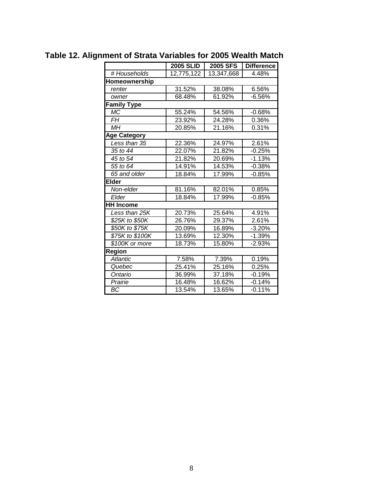|                     | <b>2005 SLID</b> | <b>2005 SFS</b> | <b>Difference</b> |
|---------------------|------------------|-----------------|-------------------|
| # Households        | 12,775,122       | 13,347,668      | 4.48%             |
| Homeownership       |                  |                 |                   |
| renter              | 31.52%           | 38.08%          | 6.56%             |
| owner               | 68.48%           | 61.92%          | $-6.56%$          |
| <b>Family Type</b>  |                  |                 |                   |
| <b>MC</b>           | 55.24%           | 54.56%          | $-0.68%$          |
| FH                  | 23.92%           | 24.28%          | 0.36%             |
| <b>MH</b>           | 20.85%           | 21.16%          | 0.31%             |
| <b>Age Category</b> |                  |                 |                   |
| Less than 35        | 22.36%           | 24.97%          | 2.61%             |
| 35 to 44            | 22.07%           | 21.82%          | $-0.25%$          |
| 45 to 54            | 21.82%           | 20.69%          | $-1.13%$          |
| 55 to 64            | 14.91%           | 14.53%          | $-0.38%$          |
| 65 and older        | 18.84%           | 17.99%          | $-0.85%$          |
| <b>Elder</b>        |                  |                 |                   |
| Non-elder           | 81.16%           | 82.01%          | 0.85%             |
| Elder               | 18.84%           | 17.99%          | $-0.85%$          |
| <b>HH Income</b>    |                  |                 |                   |
| Less than 25K       | 20.73%           | 25.64%          | 4.91%             |
| \$25K to \$50K      | 26.76%           | 29.37%          | 2.61%             |
| \$50K to \$75K      | 20.09%           | 16.89%          | $-3.20%$          |
| \$75K to \$100K     | 13.69%           | 12.30%          | $-1.39%$          |
| \$100K or more      | 18.73%           | 15.80%          | $-2.93%$          |
| Region              |                  |                 |                   |
| Atlantic            | 7.58%            | 7.39%           | 0.19%             |
| Quebec              | 25.41%           | 25.16%          | 0.25%             |
| Ontario             | 36.99%           | 37.18%          | $-0.19%$          |
| Prairie             | 16.48%           | 16.62%          | $-0.14%$          |
| BС                  | 13.54%           | 13.65%          | $-0.11%$          |

# **Table 12. Alignment of Strata Variables for 2005 Wealth Match**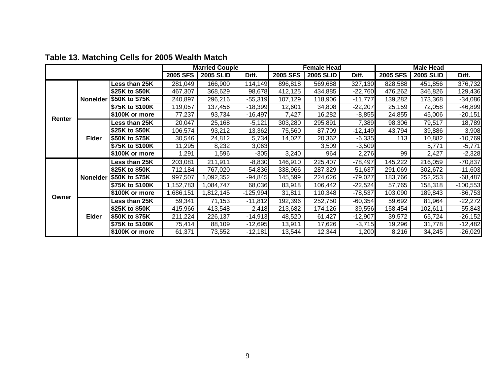|        |              |                           |           | <b>Married Couple</b> |            |                 | <b>Female Head</b> |           |          | <b>Male Head</b> |            |
|--------|--------------|---------------------------|-----------|-----------------------|------------|-----------------|--------------------|-----------|----------|------------------|------------|
|        |              |                           | 2005 SFS  | <b>2005 SLID</b>      | Diff.      | <b>2005 SFS</b> | <b>2005 SLID</b>   | Diff.     | 2005 SFS | <b>2005 SLID</b> | Diff.      |
|        |              | ess than 25K              | 281,049   | 166,900               | 114, 149   | 896,818         | 569,688            | 327,130   | 828,588  | 451,856          | 376,732    |
|        |              | \$25K to \$50K            | 467,307   | 368,629               | 98,678     | 412,125         | 434,885            | $-22,760$ | 476,262  | 346,826          | 129,436    |
|        |              | Nonelder \$50K to \$75K   | 240,897   | 296,216               | $-55,319$  | 107,129         | 118,906            | $-11,777$ | 139,282  | 173,368          | $-34,086$  |
|        |              | \$75K to \$100K           | 119,057   | 137,456               | $-18,399$  | 12,601          | 34,808             | $-22,207$ | 25,159   | 72,058           | $-46,899$  |
|        |              | \$100K or more            | 77,237    | 93,734                | $-16,497$  | 7,427           | 16,282             | $-8,855$  | 24,855   | 45,006           | $-20,151$  |
| Renter |              | Less than 25K             | 20,047    | 25,168                | $-5,121$   | 303,280         | 295,891            | 7,389     | 98,306   | 79,517           | 18,789     |
|        |              | \$25K to \$50K            | 106,574   | 93,212                | 13,362     | 75,560          | 87,709             | $-12,149$ | 43,794   | 39,886           | 3,908      |
|        | <b>Elder</b> | \$50K to \$75K            | 30,546    | 24,812                | 5,734      | 14,027          | 20,362             | $-6,335$  | 113      | 10,882           | $-10,769$  |
|        |              | \$75K to \$100K           | 11,295    | 8,232                 | 3,063      |                 | 3,509              | $-3,509$  |          | 5,771            | $-5,771$   |
|        |              | \$100K or more            | ,291      | 1,596                 | $-305$     | 3,240           | 964                | 2,276     | 99       | 2,427            | $-2,328$   |
|        |              | ess than 25K              | 203,081   | 211,911               | $-8,830$   | 146,910         | 225,407            | $-78,497$ | 145,222  | 216,059          | $-70,837$  |
|        |              | \$25K to \$50K            | 712,184   | 767,020               | $-54,836$  | 338,966         | 287,329            | 51,637    | 291,069  | 302,672          | $-11,603$  |
|        |              | Nonelder   \$50K to \$75K | 997,507   | ,092,352              | $-94,845$  | 145,599         | 224,626            | $-79,027$ | 183,766  | 252,253          | $-68,487$  |
|        |              | \$75K to \$100K           | 1,152,783 | ,084,747              | 68,036     | 83,918          | 106,442            | $-22,524$ | 57,765   | 158,318          | $-100,553$ |
|        |              | \$100K or more            | 1,686,151 | ,812,145              | $-125,994$ | 31,811          | 110,348            | $-78,537$ | 103,090  | 189,843          | $-86,753$  |
| Owner  |              | ess than 25K              | 59,341    | 71,153                | $-11,812$  | 192,396         | 252,750            | $-60,354$ | 59,692   | 81,964           | $-22,272$  |
|        |              | \$25K to \$50K            | 415,966   | 413,548               | 2,418      | 213,682         | 174,126            | 39,556    | 158,454  | 102,611          | 55,843     |
|        | <b>Elder</b> | \$50K to \$75K            | 211,224   | 226,137               | $-14,913$  | 48,520          | 61,427             | $-12,907$ | 39,572   | 65,724           | $-26,152$  |
|        |              | \$75K to \$100K           | 75,414    | 88,109                | $-12,695$  | 13,911          | 17,626             | $-3,715$  | 19,296   | 31,778           | $-12,482$  |
|        |              | \$100K or more            | 61,371    | 73,552                | $-12,181$  | 13,544          | 12,344             | 1,200     | 8,216    | 34,245           | $-26,029$  |

# **Table 13. Matching Cells for 2005 Wealth Match**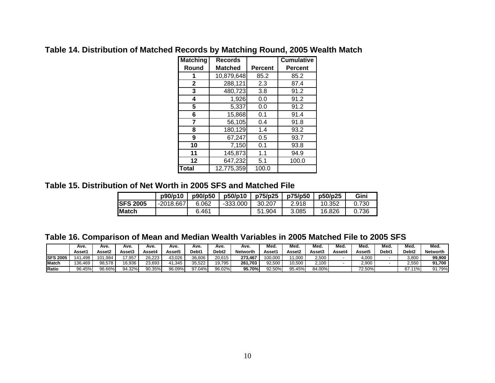| <b>Matching</b> | <b>Records</b> |                | <b>Cumulative</b> |
|-----------------|----------------|----------------|-------------------|
| Round           | <b>Matched</b> | <b>Percent</b> | <b>Percent</b>    |
| 1               | 10,879,648     | 85.2           | 85.2              |
| $\mathbf{2}$    | 288,121        | 2.3            | 87.4              |
| 3               | 480,723        | 3.8            | 91.2              |
| 4               | 1,926          | 0.0            | 91.2              |
| 5               | 5,337          | 0.0            | 91.2              |
| 6               | 15,868         | 0.1            | 91.4              |
| 7               | 56,105         | 0.4            | 91.8              |
| 8               | 180,129        | 1.4            | 93.2              |
| 9               | 67,247         | 0.5            | 93.7              |
| 10              | 7,150          | 0.1            | 93.8              |
| 11              | 145,873        | 1.1            | 94.9              |
| $12 \,$         | 647,232        | 5.1            | 100.0             |
| <b>Total</b>    | 12,775,359     | 100.0          |                   |

## **Table 14. Distribution of Matched Records by Matching Round, 2005 Wealth Match**

### **Table 15. Distribution of Net Worth in 2005 SFS and Matched File**

|                  | p90/p10     | p90/p50 | p50/p10    | p75/p25 | p75/p50 | p50/p25 | Gini  |
|------------------|-------------|---------|------------|---------|---------|---------|-------|
| <b>ISFS 2005</b> | $-2018.667$ | 6.062   | $-333.000$ | 30.207  | 2.918   | 10.352  | 0.730 |
| <b>IMatch</b>    |             | 6.461   |            | 51.904  | 3.085   | 16.826  | 0.736 |

**Table 16. Comparison of Mean and Median Wealth Variables in 2005 Matched File to 2005 SFS** 

|                  | Ave.                    | Ave.    | Ave.   | Ave.   | Ave.   | Ave.   | Ave.              | Ave.            | Med.    | Med.   | Med.   | Med.   | Med.          | Med.  | Med.              | Med.            |
|------------------|-------------------------|---------|--------|--------|--------|--------|-------------------|-----------------|---------|--------|--------|--------|---------------|-------|-------------------|-----------------|
|                  | Asset <sup>.</sup>      | Asset2  | Asset3 | Asset4 | Asset5 | Debt1  | Debt <sub>2</sub> | <b>Networth</b> | Asset1  | Asset2 | Asset3 | Asset4 | <b>Assett</b> | Debt1 | Debt <sub>2</sub> | <b>Networth</b> |
| <b>ISFS 2005</b> | .498<br>$\overline{41}$ | 101.984 | 7.957  | 26.223 | 43.026 | 36.606 | 20.615            | 273.467         | 100.000 | 1.000  | 2,500  |        | 4.000         |       | 3,800             | 99.900          |
| Match            | 136.469                 | 98.578  | 16,936 | 23,693 | 41.345 | 35,522 | 19.795            | 261,703         | 92.500  | 10,500 | 2,100  |        | 2,900         |       | 2,550             | 91,700          |
| Ratio            | 96.45%                  | 96.66%  | 94.32% | 90.35% | 96.09% | 97.04% | 96.02%            | 95.70%          | 92.50%  | 95.45% | 84.00% |        | 72.50%        |       | 67.11%            | 91.79%          |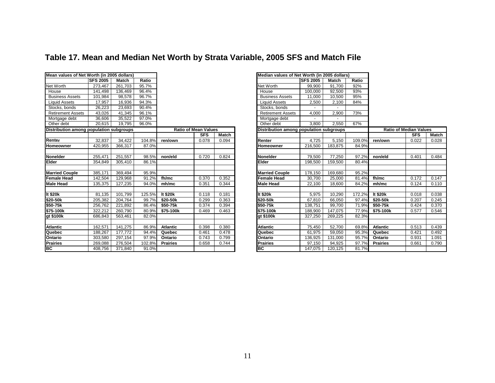# **Table 17. Mean and Median Net Worth by Strata Variable, 2005 SFS and Match File**

| Mean values of Net Worth (in 2005 dollars) |                  |         |        |                 |                             |       | Median values of Net Worth (in 2005 dollars) |                  |         |        |                 |                               |       |
|--------------------------------------------|------------------|---------|--------|-----------------|-----------------------------|-------|----------------------------------------------|------------------|---------|--------|-----------------|-------------------------------|-------|
|                                            | <b>ISFS 2005</b> | Match   | Ratio  |                 |                             |       |                                              | <b>ISFS 2005</b> | Match   | Ratio  |                 |                               |       |
| <b>Net Worth</b>                           | 273,467          | 261,703 | 95.7%  |                 |                             |       | <b>Net Worth</b>                             | 99,900           | 91,700  | 92%    |                 |                               |       |
| House                                      | 141,498          | 136,469 | 96.4%  |                 |                             |       | House                                        | 100,000          | 92,500  | 93%    |                 |                               |       |
| <b>Business Assets</b>                     | 101,984          | 98,578  | 96.7%  |                 |                             |       | <b>Business Assets</b>                       | 11,000           | 10,500  | 95%    |                 |                               |       |
| <b>Liquid Assets</b>                       | 17,957           | 16,936  | 94.3%  |                 |                             |       | <b>Liquid Assets</b>                         | 2,500            | 2,100   | 84%    |                 |                               |       |
| Stocks, bonds                              | 26,223           | 23,693  | 90.4%  |                 |                             |       | Stocks, bonds                                |                  |         |        |                 |                               |       |
| <b>Retirement Assets</b>                   | 43,026           | 41,345  | 96.1%  |                 |                             |       | <b>Retirement Assets</b>                     | 4,000            | 2,900   | 73%    |                 |                               |       |
| Mortgage debt                              | 36,606           | 35,522  | 97.0%  |                 |                             |       | Mortgage debt                                |                  |         |        |                 |                               |       |
| Other debt                                 | 20,615           | 19,795  | 96.0%  |                 |                             |       | Other debt                                   | 3,800            | 2,550   | 67%    |                 |                               |       |
| Distribution among population subgroups    |                  |         |        |                 | <b>Ratio of Mean Values</b> |       | Distribution among population subgroups      |                  |         |        |                 | <b>Ratio of Median Values</b> |       |
|                                            |                  |         |        |                 | SFS                         | Match |                                              |                  |         |        |                 | <b>SFS</b>                    | Match |
| Renter                                     | 32,837           | 34,422  | 104.8% | ren/own         | 0.078                       | 0.094 | Renter                                       | 4.725            | 5.150   | 109.0% | ren/own         | 0.022                         | 0.028 |
| <b>Homeowner</b>                           | 420,955          | 366,317 | 87.0%  |                 |                             |       | <b>Homeowner</b>                             | 216,500          | 183,875 | 84.9%  |                 |                               |       |
|                                            |                  |         |        |                 |                             |       |                                              |                  |         |        |                 |                               |       |
| <b>Nonelder</b>                            | 255,471          | 251,557 | 98.5%  | non/eld         | 0.720                       | 0.824 | <b>Nonelder</b>                              | 79,500           | 77,250  | 97.2%  | non/eld         | 0.401                         | 0.484 |
| Elder                                      | 354,849          | 305,410 | 86.1%  |                 |                             |       | <b>Elder</b>                                 | 198,500          | 159,500 | 80.4%  |                 |                               |       |
|                                            |                  |         |        |                 |                             |       |                                              |                  |         |        |                 |                               |       |
| <b>Married Couple</b>                      | 385,171          | 369.494 | 95.9%  |                 |                             |       | <b>Married Couple</b>                        | 178,150          | 169,680 | 95.2%  |                 |                               |       |
| <b>Female Head</b>                         | 142,504          | 129,968 | 91.2%  | fh/mc           | 0.370                       | 0.352 | <b>Female Head</b>                           | 30,700           | 25,000  | 81.4%  | fh/mc           | 0.172                         | 0.147 |
| <b>Male Head</b>                           | 135,375          | 127,235 | 94.0%  | mh/mc           | 0.351                       | 0.344 | <b>Male Head</b>                             | 22,100           | 18,600  | 84.2%  | mh/mc           | 0.124                         | 0.110 |
|                                            |                  |         |        |                 |                             |       |                                              |                  |         |        |                 |                               |       |
| It \$20k                                   | 81,135           | 101,799 | 125.5% | It \$20k        | 0.118                       | 0.181 | It \$20k                                     | 5,975            | 10,290  | 172.2% | It \$20k        | 0.018                         | 0.038 |
| \$20-50k                                   | 205,382          | 204,764 | 99.7%  | \$20-50k        | 0.299                       | 0.363 | \$20-50k                                     | 67,810           | 66,050  | 97.4%  | \$20-50k        | 0.207                         | 0.245 |
| \$50-75k                                   | 256,762          | 221,892 | 86.4%  | \$50-75k        | 0.374                       | 0.394 | \$50-75k                                     | 138,751          | 99,700  | 71.9%  | \$50-75k        | 0.424                         | 0.370 |
| \$75-100k                                  | 322,212          | 260,790 | 80.9%  | \$75-100k       | 0.469                       | 0.463 | \$75-100k                                    | 188,900          | 147,075 | 77.9%  | \$75-100k       | 0.577                         | 0.546 |
| gt \$100k                                  | 686.843          | 563.461 | 82.0%  |                 |                             |       | gt \$100k                                    | 327.250          | 269.225 | 82.3%  |                 |                               |       |
|                                            |                  |         |        |                 |                             |       |                                              |                  |         |        |                 |                               |       |
| <b>Atlantic</b>                            | 162.571          | 141,275 | 86.9%  | <b>Atlantic</b> | 0.398                       | 0.380 | <b>Atlantic</b>                              | 75,450           | 52.700  | 69.8%  | <b>Atlantic</b> | 0.513                         | 0.439 |
| Quebec                                     | 188.267          | 177.772 | 94.4%  | Quebec          | 0.461                       | 0.478 | Quebec                                       | 61,975           | 59,050  | 95.3%  | Quebec          | 0.421                         | 0.492 |
| Ontario<br>Prairies                        | 303,580          | 297,154 | 97.9%  | Ontario         | 0.743                       | 0.799 | <b>Ontario</b>                               | 136,925          | 131,000 | 95.7%  | Ontario         | 0.931                         | 1.091 |
|                                            | 269,088          | 276,504 | 102.8% | <b>Prairies</b> | 0.658                       | 0.744 | <b>Prairies</b>                              | 97,150           | 94,925  | 97.7%  | <b>Prairies</b> | 0.661                         | 0.790 |
| BC                                         | 408,756          | 371,840 | 91.0%  |                 |                             |       | BC                                           | 147,075          | 120,125 | 81.7%  |                 |                               |       |

|                      |                 |                             |       | <u>Median values of Net Worth (in 2005 dollars)</u> |                  |         |        |                               |            |       |
|----------------------|-----------------|-----------------------------|-------|-----------------------------------------------------|------------------|---------|--------|-------------------------------|------------|-------|
| o                    |                 |                             |       |                                                     | <b>ISFS 2005</b> | Match   | Ratio  |                               |            |       |
| ℅                    |                 |                             |       | Net Worth                                           | 99,900           | 91.700  | 92%    |                               |            |       |
| ℅                    |                 |                             |       | House                                               | 100,000          | 92,500  | 93%    |                               |            |       |
| ℅                    |                 |                             |       | <b>Business Assets</b>                              | 11.000           | 10.500  | 95%    |                               |            |       |
| %                    |                 |                             |       | <b>Liquid Assets</b>                                | 2,500            | 2,100   | 84%    |                               |            |       |
| %                    |                 |                             |       | Stocks, bonds                                       |                  |         |        |                               |            |       |
| ℅                    |                 |                             |       | <b>Retirement Assets</b>                            | 4,000            | 2,900   | 73%    |                               |            |       |
| $\frac{1}{\%}$       |                 |                             |       | Mortgage debt                                       |                  |         |        |                               |            |       |
| $\frac{2}{\sqrt{2}}$ |                 |                             |       | Other debt                                          | 3,800            | 2,550   | 67%    |                               |            |       |
|                      |                 | <b>Ratio of Mean Values</b> |       | Distribution among population subgroups             |                  |         |        | <b>Ratio of Median Values</b> |            |       |
|                      |                 | <b>SFS</b>                  | Match |                                                     |                  |         |        |                               | <b>SFS</b> | Match |
| .8%                  | ren/own         | 0.078                       | 0.094 | Renter                                              | 4,725            | 5,150   | 109.0% | ren/own                       | 0.022      | 0.028 |
| .0%                  |                 |                             |       | Homeowner                                           | 216.500          | 183,875 | 84.9%  |                               |            |       |
|                      |                 |                             |       |                                                     |                  |         |        |                               |            |       |
| .5%                  | non/eld         | 0.720                       | 0.824 | Nonelder                                            | 79,500           | 77,250  | 97.2%  | non/eld                       | 0.401      | 0.484 |
| .1%                  |                 |                             |       | <b>Elder</b>                                        | 198,500          | 159,500 | 80.4%  |                               |            |       |
|                      |                 |                             |       |                                                     |                  |         |        |                               |            |       |
| .9%                  |                 |                             |       | <b>Married Couple</b>                               | 178.150          | 169,680 | 95.2%  |                               |            |       |
| .2%                  | fh/mc           | 0.370                       | 0.352 | <b>Female Head</b>                                  | 30,700           | 25,000  | 81.4%  | fh/mc                         | 0.172      | 0.147 |
| .0%                  | mh/mc           | 0.351                       | 0.344 | <b>Male Head</b>                                    | 22,100           | 18,600  | 84.2%  | mh/mc                         | 0.124      | 0.110 |
|                      |                 |                             |       |                                                     |                  |         |        |                               |            |       |
| .5%                  | lt \$20k        | 0.118                       | 0.181 | It \$20k                                            | 5,975            | 10.290  | 172.2% | It \$20k                      | 0.018      | 0.038 |
| .7%                  | \$20-50k        | 0.299                       | 0.363 | \$20-50k                                            | 67,810           | 66,050  | 97.4%  | \$20-50k                      | 0.207      | 0.245 |
| .4%                  | \$50-75k        | 0.374                       | 0.394 | \$50-75k                                            | 138,751          | 99,700  | 71.9%  | \$50-75k                      | 0.424      | 0.370 |
| .9%                  | \$75-100k       | 0.469                       | 0.463 | \$75-100k                                           | 188,900          | 147,075 | 77.9%  | \$75-100k                     | 0.577      | 0.546 |
| .0%                  |                 |                             |       | gt \$100k                                           | 327.250          | 269.225 | 82.3%  |                               |            |       |
|                      |                 |                             |       |                                                     |                  |         |        |                               |            |       |
| .9%                  | <b>Atlantic</b> | 0.398                       | 0.380 | Atlantic                                            | 75,450           | 52,700  | 69.8%  | <b>Atlantic</b>               | 0.513      | 0.439 |
| .4%                  | Quebec          | 0.461                       | 0.478 | Quebec                                              | 61,975           | 59,050  | 95.3%  | Quebec                        | 0.421      | 0.492 |
| .9%                  | Ontario         | 0.743                       | 0.799 | Ontario                                             | 136,925          | 131,000 | 95.7%  | Ontario                       | 0.931      | 1.091 |
| .8%                  | <b>Prairies</b> | 0.658                       | 0.744 | <b>Prairies</b>                                     | 97,150           | 94,925  | 97.7%  | <b>Prairies</b>               | 0.661      | 0.790 |
| .0%                  |                 |                             |       | BC                                                  | 147,075          | 120,125 | 81.7%  |                               |            |       |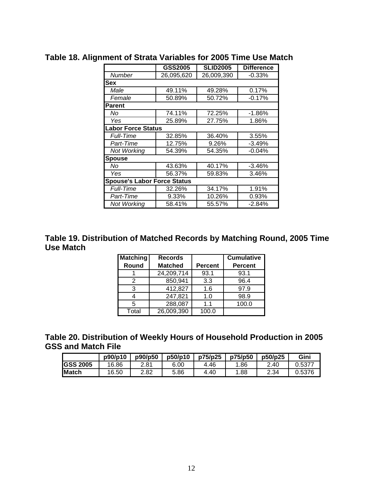|                                    | <b>GSS2005</b> | <b>SLID2005</b> | <b>Difference</b> |
|------------------------------------|----------------|-----------------|-------------------|
| Number                             | 26,095,620     | 26,009,390      | $-0.33%$          |
| <b>Sex</b>                         |                |                 |                   |
| Male                               | 49.11%         | 49.28%          | 0.17%             |
| Female                             | 50.89%         | 50.72%          | $-0.17%$          |
| <b>Parent</b>                      |                |                 |                   |
| No                                 | 74.11%         | 72.25%          | $-1.86%$          |
| Yes                                | 25.89%         | 27.75%          | 1.86%             |
| <b>Labor Force Status</b>          |                |                 |                   |
| <b>Full-Time</b>                   | 32.85%         | 36.40%          | 3.55%             |
| Part-Time                          | 12.75%         | 9.26%           | $-3.49%$          |
| Not Working                        | 54.39%         | 54.35%          | $-0.04%$          |
| <b>Spouse</b>                      |                |                 |                   |
| No                                 | 43.63%         | 40.17%          | $-3.46%$          |
| Yes                                | 56.37%         | 59.83%          | 3.46%             |
| <b>Spouse's Labor Force Status</b> |                |                 |                   |
| <i><b>Full-Time</b></i>            | 32.26%         | 34.17%          | 1.91%             |
| Part-Time                          | 9.33%          | 10.26%          | 0.93%             |
| <b>Not Working</b>                 | 58.41%         | 55.57%          | $-2.84%$          |

**Table 18. Alignment of Strata Variables for 2005 Time Use Match** 

**Table 19. Distribution of Matched Records by Matching Round, 2005 Time Use Match** 

| <b>Matching</b> | <b>Records</b> |                | <b>Cumulative</b> |
|-----------------|----------------|----------------|-------------------|
| Round           | <b>Matched</b> | <b>Percent</b> | <b>Percent</b>    |
|                 | 24,209,714     | 93.1           | 93.1              |
|                 | 850,941        | 3.3            | 96.4              |
| 3               | 412,827        | 1.6            | 97.9              |
|                 | 247,821        | 1.0            | 98.9              |
| 5               | 288,087        | 1.1            | 100.0             |
| Total           | 26,009,390     | 100.0          |                   |

**Table 20. Distribution of Weekly Hours of Household Production in 2005 GSS and Match File** 

|                 | p90/p10 | p90/p50 | p50/p10 | p75/p25 | p75/p50 | p50/p25 | Gini   |
|-----------------|---------|---------|---------|---------|---------|---------|--------|
| <b>GSS 2005</b> | 16.86   | 2.81    | 6.00    | 4.46    | .86     | 2.40    | Ა.5377 |
| <b>IMatch</b>   | 16.50   | 2.82    | 5.86    | 4.40    | 88.     | 2.34    | 0.5376 |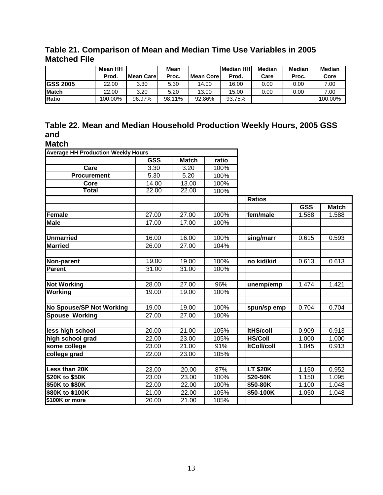**Table 21. Comparison of Mean and Median Time Use Variables in 2005 Matched File** 

|                 | Mean HH |               | Mean   |             | <b>Median HHI</b> | Median | <b>Median</b> | <b>Median</b> |
|-----------------|---------|---------------|--------|-------------|-------------------|--------|---------------|---------------|
|                 | Prod.   | l Mean Care I | Proc.  | lMean Corel | Prod.             | Care   | Proc.         | Core          |
| <b>GSS 2005</b> | 22.00   | 3.30          | 5.30   | 14.00       | 16.00             | 0.00   | 0.00          | 7.00          |
| <b>IMatch</b>   | 22.00   | 3.20          | 5.20   | 13.00       | 15.00             | 0.00   | 0.00          | 7.00          |
| Ratio           | 100.00% | 96.97%        | 98.11% | 92.86%      | 93.75%            |        |               | 100.00%       |

## **Table 22. Mean and Median Household Production Weekly Hours, 2005 GSS and**

**Match**

| <b>Average HH Production Weekly Hours</b> |            |              |       |                    |                    |              |  |  |
|-------------------------------------------|------------|--------------|-------|--------------------|--------------------|--------------|--|--|
|                                           | <b>GSS</b> | <b>Match</b> | ratio |                    |                    |              |  |  |
| Care                                      | 3.30       | 3.20         | 100%  |                    |                    |              |  |  |
| <b>Procurement</b>                        | 5.30       | 5.20         | 100%  |                    |                    |              |  |  |
| Core                                      | 14.00      | 13.00        | 100%  |                    |                    |              |  |  |
| <b>Total</b>                              | 22.00      | 22.00        | 100%  |                    |                    |              |  |  |
|                                           |            |              |       | <b>Ratios</b>      |                    |              |  |  |
|                                           |            |              |       |                    | <b>GSS</b>         | <b>Match</b> |  |  |
| <b>Female</b>                             | 27.00      | 27.00        | 100%  | fem/male           | 1.588              | 1.588        |  |  |
| <b>Male</b>                               | 17.00      | 17.00        | 100%  |                    |                    |              |  |  |
|                                           |            |              |       |                    |                    |              |  |  |
| <b>Unmarried</b>                          | 16.00      | 16.00        | 100%  | sing/marr          | 0.615              | 0.593        |  |  |
| <b>Married</b>                            | 26.00      | 27.00        | 104%  |                    |                    |              |  |  |
|                                           |            |              |       |                    |                    |              |  |  |
| Non-parent                                | 19.00      | 19.00        | 100%  | no kid/kid         | 0.613              | 0.613        |  |  |
| <b>Parent</b>                             | 31.00      | 31.00        | 100%  |                    |                    |              |  |  |
|                                           |            |              |       |                    |                    |              |  |  |
| <b>Not Working</b>                        | 28.00      | 27.00        | 96%   | unemp/emp          | 1.474              | 1.421        |  |  |
| <b>Working</b>                            | 19.00      | 19.00        | 100%  |                    |                    |              |  |  |
|                                           |            |              |       |                    |                    |              |  |  |
| <b>No Spouse/SP Not Working</b>           | 19.00      | 19.00        | 100%  | spun/sp emp        | 0.704              | 0.704        |  |  |
| <b>Spouse Working</b>                     | 27.00      | 27.00        | 100%  |                    |                    |              |  |  |
|                                           |            |              |       |                    |                    |              |  |  |
| less high school                          | 20.00      | 21.00        | 105%  | <b>ItHS/coll</b>   | 0.909              | 0.913        |  |  |
| high school grad                          | 22.00      | 23.00        | 105%  | <b>HS/Coll</b>     | 1.000              | 1.000        |  |  |
| some college                              | 23.00      | 21.00        | 91%   | <b>ItColl/coll</b> | 1.045              | 0.913        |  |  |
| college grad                              | 22.00      | 23.00        | 105%  |                    |                    |              |  |  |
|                                           |            |              |       |                    |                    |              |  |  |
| Less than 20K                             | 23.00      | 20.00        | 87%   | <b>LT \$20K</b>    | 1.150              | 0.952        |  |  |
| \$20K to \$50K                            | 23.00      | 23.00        | 100%  | \$20-50K           | $\overline{1.150}$ | 1.095        |  |  |
| \$50K to \$80K                            | 22.00      | 22.00        | 100%  | \$50-80K           | 1.100              | 1.048        |  |  |
| \$80K to \$100K                           | 21.00      | 22.00        | 105%  | \$50-100K          | 1.050              | 1.048        |  |  |
| \$100K or more                            | 20.00      | 21.00        | 105%  |                    |                    |              |  |  |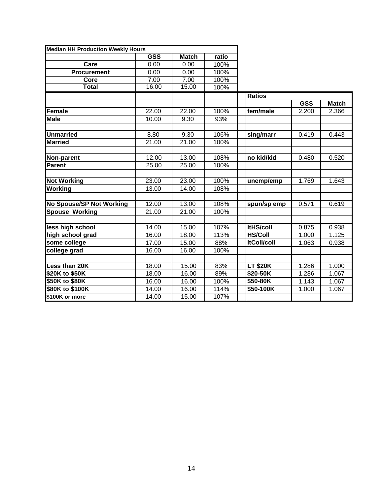| <b>Median HH Production Weekly Hours</b> |            |              |       |                    |            |              |
|------------------------------------------|------------|--------------|-------|--------------------|------------|--------------|
|                                          | <b>GSS</b> | <b>Match</b> | ratio |                    |            |              |
| Care                                     | 0.00       | 0.00         | 100%  |                    |            |              |
| <b>Procurement</b>                       | 0.00       | 0.00         | 100%  |                    |            |              |
| Core                                     | 7.00       | 7.00         | 100%  |                    |            |              |
| <b>Total</b>                             | 16.00      | 15.00        | 100%  |                    |            |              |
|                                          |            |              |       | <b>Ratios</b>      |            |              |
|                                          |            |              |       |                    | <b>GSS</b> | <b>Match</b> |
| Female                                   | 22.00      | 22.00        | 100%  | fem/male           | 2.200      | 2.366        |
| <b>Male</b>                              | 10.00      | 9.30         | 93%   |                    |            |              |
|                                          |            |              |       |                    |            |              |
| <b>Unmarried</b>                         | 8.80       | 9.30         | 106%  | sing/marr          | 0.419      | 0.443        |
| <b>Married</b>                           | 21.00      | 21.00        | 100%  |                    |            |              |
|                                          |            |              |       |                    |            |              |
| Non-parent                               | 12.00      | 13.00        | 108%  | no kid/kid         | 0.480      | 0.520        |
| <b>Parent</b>                            | 25.00      | 25.00        | 100%  |                    |            |              |
|                                          |            |              |       |                    |            |              |
| <b>Not Working</b>                       | 23.00      | 23.00        | 100%  | unemp/emp          | 1.769      | 1.643        |
| <b>Working</b>                           | 13.00      | 14.00        | 108%  |                    |            |              |
|                                          |            |              |       |                    |            |              |
| No Spouse/SP Not Working                 | 12.00      | 13.00        | 108%  | spun/sp emp        | 0.571      | 0.619        |
| <b>Spouse Working</b>                    | 21.00      | 21.00        | 100%  |                    |            |              |
|                                          |            |              |       |                    |            |              |
| less high school                         | 14.00      | 15.00        | 107%  | <b>ItHS/coll</b>   | 0.875      | 0.938        |
| high school grad                         | 16.00      | 18.00        | 113%  | <b>HS/Coll</b>     | 1.000      | 1.125        |
| some college                             | 17.00      | 15.00        | 88%   | <b>ItColl/coll</b> | 1.063      | 0.938        |
| college grad                             | 16.00      | 16.00        | 100%  |                    |            |              |
|                                          |            |              |       |                    |            |              |
| Less than 20K                            | 18.00      | 15.00        | 83%   | <b>LT \$20K</b>    | 1.286      | 1.000        |
| \$20K to \$50K                           | 18.00      | 16.00        | 89%   | \$20-50K           | 1.286      | 1.067        |
| \$50K to \$80K                           | 16.00      | 16.00        | 100%  | \$50-80K           | 1.143      | 1.067        |
| \$80K to \$100K                          | 14.00      | 16.00        | 114%  | \$50-100K          | 1.000      | 1.067        |
| \$100K or more                           | 14.00      | 15.00        | 107%  |                    |            |              |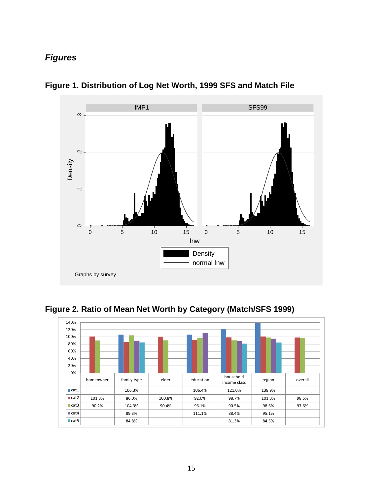## *Figures*



**Figure 1. Distribution of Log Net Worth, 1999 SFS and Match File** 



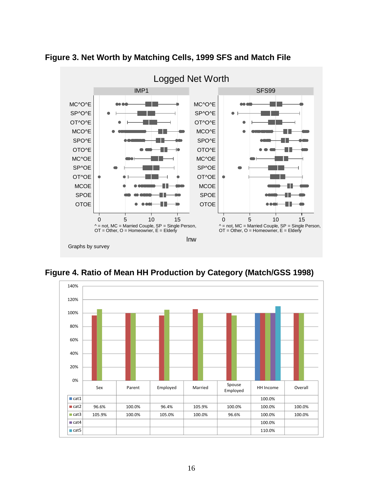

**Figure 3. Net Worth by Matching Cells, 1999 SFS and Match File** 

**Figure 4. Ratio of Mean HH Production by Category (Match/GSS 1998)**  140%

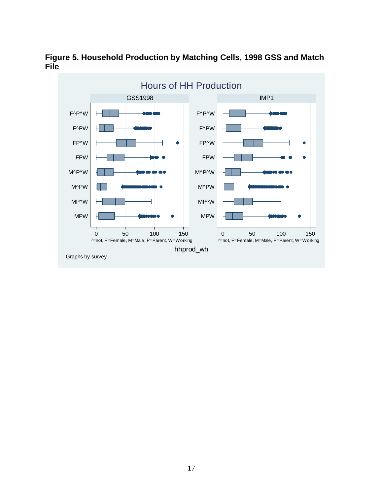

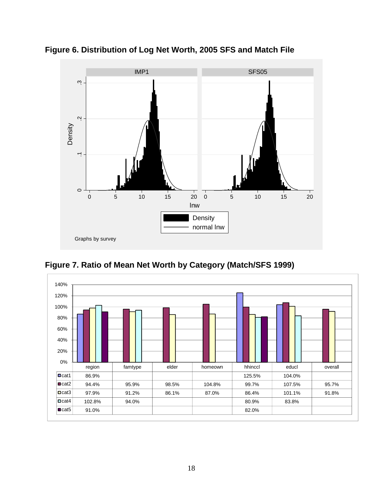

**Figure 6. Distribution of Log Net Worth, 2005 SFS and Match File** 

**Figure 7. Ratio of Mean Net Worth by Category (Match/SFS 1999)** 

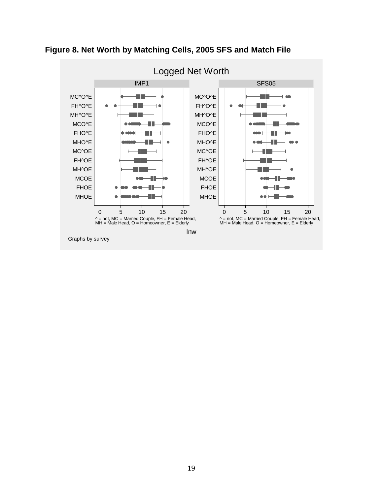

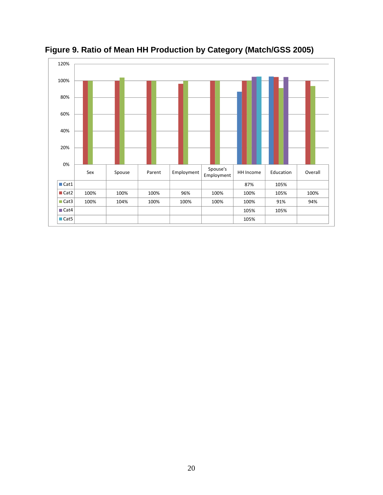

**Figure 9. Ratio of Mean HH Production by Category (Match/GSS 2005)**